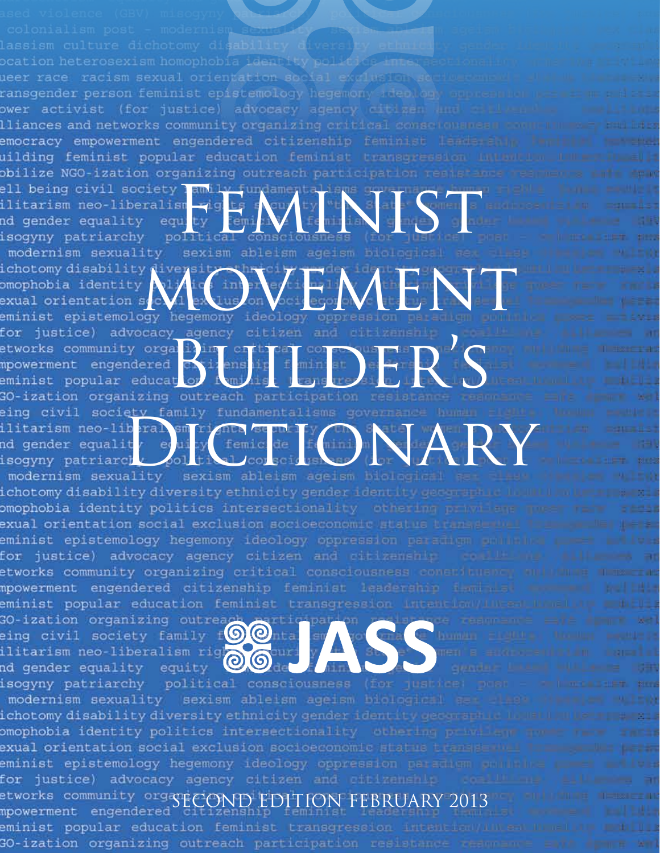ocation heterosexism homophobia ueer race racism sexual orientation ransgender person feminist epistemology hegemony ower activist (for justice) advocacy agency citi lliances and networks community organizing critical conse emocracy empowerment engendered citizenship feminist uilding feminist popular education feminist transgressi obilize NGO-ization organizing outreach participation re

ell being civil society amily (<br>ilitarism neo-liberalism rights)<br>nd gender equality equity equity ( )<br>isogyny patriarchy political consciousness modernism sexuality sexism ableism agelsm<br>ichotomy disability diversity thricity<br>comophobia identity diversity that is a legal of the sexual orientation second extension between the component<br>eminist epistemology hegemony for justice) advocacy agency citizen and the strong extractions of the conservation of the conservation of the conservation of the conservation of the conservation of the conservation of the conservation of the conservatio eing civil society family fundamentalisms g<br>ilitarism neo-liberal sm rights sermely<br>nd gender equality evaluation femicide<br>isogyny patriarch political conscious of the MARY<br>modernism sexuality sexism ableism ageism blade

ichotomy disability diversity ethnicity gender ident it omophobia identity politics intersectionality othering exual orientation social exclusion socioeconomic status trans eminist epistemology hegemony ideology oppression paradigm p for justice) advocacy agency citizen and citizenship etworks community organizing critical consciousness constitus mpowerment engendered citizenship feminist leadership is i eminist popular education feminist transgression intention GO-ization organizing outreach of the production of the series of the series of the series of the series of the series of the series of the series of the series of the series of the series of the series of the series of th

isogyny patriarchy political consciousness modernism sexuality sexism ableism ageism biological  ${\sf identity}$  disability diversity ethnicity gender identity germany. omophobia identity politics intersectionality conering private exual orientation social exclusion socioeconomic status transpe eminist epistemology hegemony ideology oppression perscham for justice) advocacy agency citizen and citizenship etworks community orga<br>ECOND Engendered ECOND E eminist popular education feminist transgressi GO-ization organizing outreach participation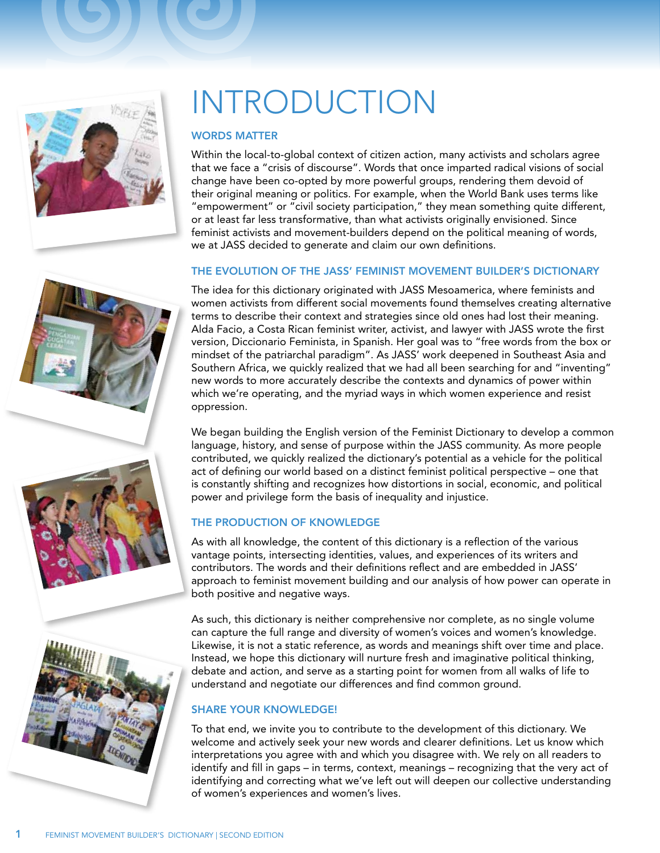

# **INTRODUCTION**

#### **WORDS MATTER**

Within the local-to-global context of citizen action, many activists and scholars agree that we face a "crisis of discourse". Words that once imparted radical visions of social change have been co-opted by more powerful groups, rendering them devoid of their original meaning or politics. For example, when the World Bank uses terms like "empowerment" or "civil society participation," they mean something quite different, or at least far less transformative, than what activists originally envisioned. Since feminist activists and movement-builders depend on the political meaning of words, we at JASS decided to generate and claim our own definitions.

#### The evolution of the JASS' Feminist Movement Builder's Dictionary

The idea for this dictionary originated with JASS Mesoamerica, where feminists and women activists from different social movements found themselves creating alternative terms to describe their context and strategies since old ones had lost their meaning. Alda Facio, a Costa Rican feminist writer, activist, and lawyer with JASS wrote the first version, Diccionario Feminista, in Spanish. Her goal was to "free words from the box or mindset of the patriarchal paradigm". As JASS' work deepened in Southeast Asia and Southern Africa, we quickly realized that we had all been searching for and "inventing" new words to more accurately describe the contexts and dynamics of power within which we're operating, and the myriad ways in which women experience and resist oppression.

We began building the English version of the Feminist Dictionary to develop a common language, history, and sense of purpose within the JASS community. As more people contributed, we quickly realized the dictionary's potential as a vehicle for the political act of defining our world based on a distinct feminist political perspective – one that is constantly shifting and recognizes how distortions in social, economic, and political power and privilege form the basis of inequality and injustice.

#### The production of knowledge

As with all knowledge, the content of this dictionary is a reflection of the various vantage points, intersecting identities, values, and experiences of its writers and contributors. The words and their definitions reflect and are embedded in JASS' approach to feminist movement building and our analysis of how power can operate in both positive and negative ways.

As such, this dictionary is neither comprehensive nor complete, as no single volume can capture the full range and diversity of women's voices and women's knowledge. Likewise, it is not a static reference, as words and meanings shift over time and place. Instead, we hope this dictionary will nurture fresh and imaginative political thinking, debate and action, and serve as a starting point for women from all walks of life to understand and negotiate our differences and find common ground.

#### SHARE YOUR KNOWLEDGE!

To that end, we invite you to contribute to the development of this dictionary. We welcome and actively seek your new words and clearer definitions. Let us know which interpretations you agree with and which you disagree with. We rely on all readers to identify and fill in gaps – in terms, context, meanings – recognizing that the very act of identifying and correcting what we've left out will deepen our collective understanding of women's experiences and women's lives.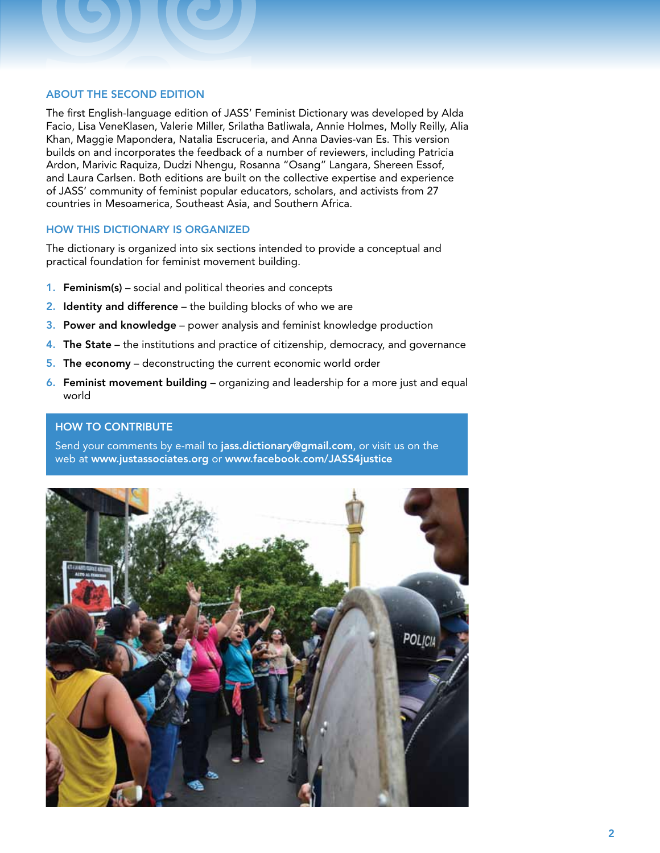#### About the second edition

The first English-language edition of JASS' Feminist Dictionary was developed by Alda Facio, Lisa VeneKlasen, Valerie Miller, Srilatha Batliwala, Annie Holmes, Molly Reilly, Alia Khan, Maggie Mapondera, Natalia Escruceria, and Anna Davies-van Es. This version builds on and incorporates the feedback of a number of reviewers, including Patricia Ardon, Marivic Raquiza, Dudzi Nhengu, Rosanna "Osang" Langara, Shereen Essof, and Laura Carlsen. Both editions are built on the collective expertise and experience of JASS' community of feminist popular educators, scholars, and activists from 27 countries in Mesoamerica, Southeast Asia, and Southern Africa.

#### How this dictionary is organized

The dictionary is organized into six sections intended to provide a conceptual and practical foundation for feminist movement building.

- 1. Feminism(s) social and political theories and concepts
- **2.** Identity and difference the building blocks of who we are
- 3. Power and knowledge power analysis and feminist knowledge production
- 4. The State the institutions and practice of citizenship, democracy, and governance
- 5. The economy deconstructing the current economic world order
- 6. Feminist movement building organizing and leadership for a more just and equal world

#### **HOW TO CONTRIBUTE**

Send your comments by e-mail to jass.dictionary@gmail.com, or visit us on the web at www.justassociates.org or www.facebook.com/JASS4justice

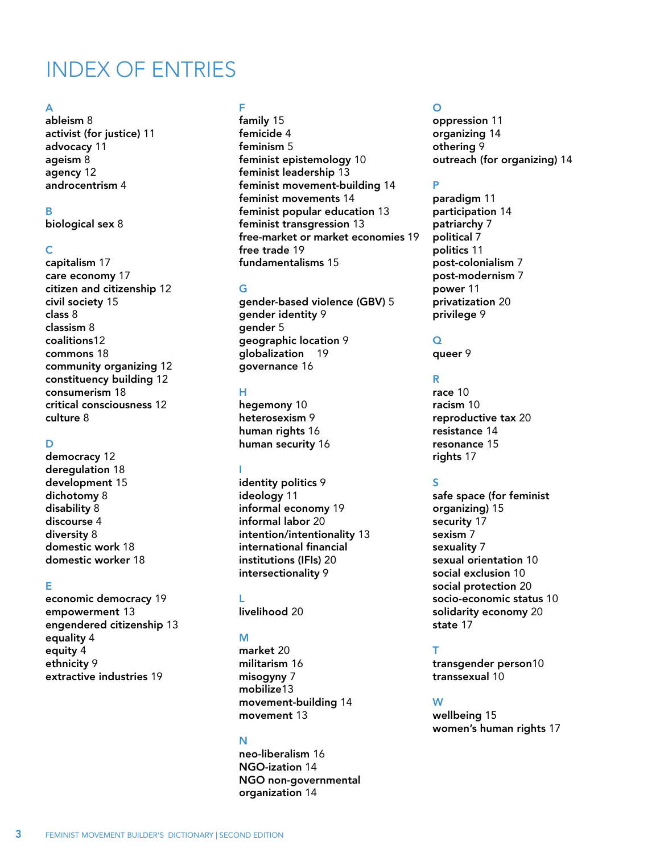### INDEX OF ENTRIES

#### A

[ableism](#page-8-0) 8 [activist \(for justice\)](#page-11-0) 11 [advocacy](#page-11-0) 11 [ageism](#page-8-0) 8 [agency](#page-12-0) 12 [androcentrism](#page-4-0) 4

#### B

[biological sex](#page-8-0) 8

#### C

[capitalism](#page-17-0) 17 [care economy](#page-17-0) 17 [citizen and citizenship](#page-12-0) 12 [civil society](#page-15-0) 15 [class](#page-8-0) 8 [classism](#page-8-0) 8 [coalitions](#page-12-0)12 [commons](#page-18-0) 18 [community organizing](#page-12-0) 12 [constituency building](#page-12-0) 12 [consumerism](#page-18-0) 18 [critical consciousness](#page-12-0) 12 [culture](#page-8-0) 8

#### D

[democracy](#page-12-0) 12 [deregulation](#page-18-0) 18 [development](#page-15-0) 15 [dichotomy](#page-8-0) 8 [disability](#page-8-0) 8 [discourse](#page-4-0) 4 [diversity](#page-8-0) 8 [domestic work](#page-18-0) 18 [domestic worker](#page-18-0) 18

#### E

[economic democracy](#page-19-0) 19 [empowerment](#page-13-0) 13 [engendered citizenship](#page-13-0) 13 [equality](#page-4-0) 4 [equity](#page-4-0) 4 [ethnicity](#page-9-0) 9 [extractive industries](#page-19-0) 19

#### F

[family](#page-15-0) 15 [femicide](#page-4-0) 4 [feminism](#page-5-0) 5 [feminist epistemology](#page-10-0) 10 [feminist leadership](#page-13-0) 13 [feminist movement-building](#page-14-0) 14 [feminist movements](#page-14-0) 14 [feminist popular education](#page-13-0) 13 [feminist transgression](#page-13-0) 13 [free-market or market economies](#page-19-0) 19 [free trade](#page-19-0) 19 [fundamentalisms](#page-15-0) 15

#### G

[gender-based violence \(GBV\)](#page-5-0) 5 [gender identity](#page-9-0) 9 [gender](#page-5-0) 5 [geographic location](#page-9-0) 9 [globalization](#page-19-0) 19 [governance](#page-16-0) 16

#### H

[hegemony](#page-10-0) 10 [heterosexism](#page-9-0) [9](#page-9-0) [human rights](#page-16-0) 16 [human security](#page-16-0) 16

#### I

[identity politics](#page-9-0) 9 [ideology](#page-11-0) 11 [informal economy](#page-19-0) 19 [informal labor](#page-20-0) 20 [intention/intentionality](#page-13-0) 13 [international financial](#page-20-0) [institutions \(IFIs\)](#page-20-0) 20 [intersectionality](#page-9-0) 9

#### L

[livelihood](#page-20-0) 20

#### M

[market](#page-20-0) 20 [militarism](#page-16-0) 16 [misogyny](#page-7-0) 7 [mobilize](#page-13-0)13 [movement-building](#page-14-0) 14 [movement](#page-13-0) 13

#### N

[neo-liberalism](#page-16-0) 16 [NGO-ization](#page-14-0) 14 NGO [non-governmental](#page-14-0) [organization](#page-14-0) 14

#### O

[oppression](#page-11-0) 11 [organizing](#page-14-0) 14 [othering](#page-9-0) 9 [outreach \(for organizing\)](#page-14-0) 14

#### P

[paradigm](#page-11-0) 11 [participation](#page-14-0) 14 [patriarchy](#page-7-0) 7 [political](#page-7-0) 7 [politics](#page-11-0) 11 [post-colonialism](#page-7-0) 7 [post-modernism](#page-7-0) 7 [power](#page-11-0) 11 [privatization](#page-20-0) 20 [privilege](#page-9-0) 9

#### $\Omega$

[queer](#page-9-0) 9

#### R

[race](#page-10-0) 10 [racism](#page-10-0) 10 [reproductive tax](#page-20-0) 20 [resistance](#page-14-0) 14 [resonance](#page-15-0) 15 [rights](#page-17-0) 17

#### S

[safe space \(for feminist](#page-15-0)  [organizing\)](#page-15-0) 15 [security](#page-17-0) 17 [sexism](#page-7-0) 7 [sexuality](#page-7-0) 7 [sexual orientation](#page-10-0) 10 [social exclusion](#page-10-0) 10 [social protection](#page-20-0) 20 [socio-economic status](#page-10-0) 10 [solidarity economy](#page-20-0) 20 [state](#page-17-0) 17

#### T

[transgender person](#page-10-0)10 [transsexual](#page-10-0) 10

#### W

[wellbeing](#page-15-0) 15 [women's human rights](#page-17-0) 17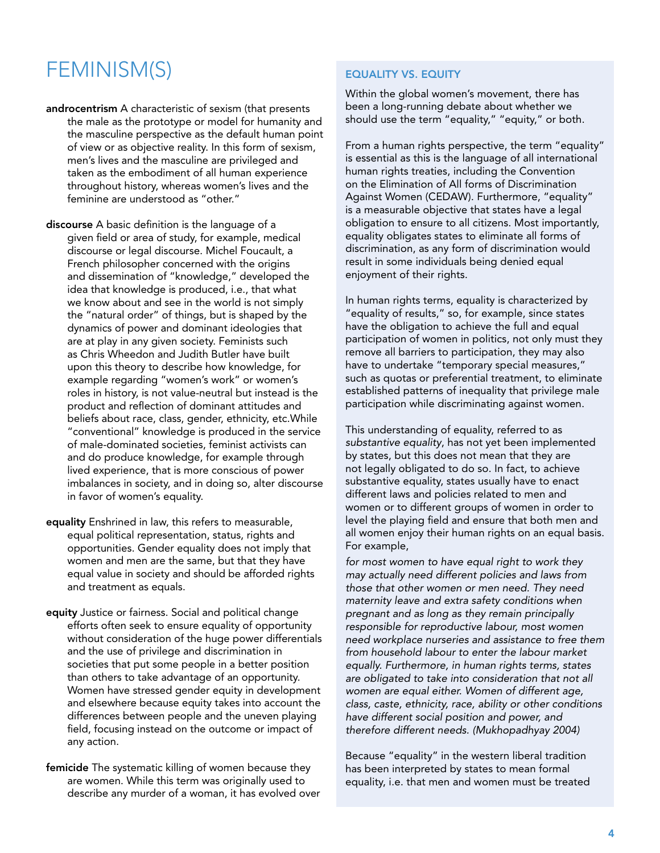### <span id="page-4-0"></span>FEMINISM(S)

androcentrism A characteristic of sexism (that presents the male as the prototype or model for humanity and the masculine perspective as the default human point of view or as objective reality. In this form of sexism, men's lives and the masculine are privileged and taken as the embodiment of all human experience throughout history, whereas women's lives and the feminine are understood as "other."

discourse A basic definition is the language of a given field or area of study, for example, medical discourse or legal discourse. Michel Foucault, a French philosopher concerned with the origins and dissemination of "knowledge," developed the idea that knowledge is produced, i.e., that what we know about and see in the world is not simply the "natural order" of things, but is shaped by the dynamics of power and dominant ideologies that are at play in any given society. Feminists such as Chris Wheedon and Judith Butler have built upon this theory to describe how knowledge, for example regarding "women's work" or women's roles in history, is not value-neutral but instead is the product and reflection of dominant attitudes and beliefs about race, class, gender, ethnicity, etc.While "conventional" knowledge is produced in the service of male-dominated societies, feminist activists can and do produce knowledge, for example through lived experience, that is more conscious of power imbalances in society, and in doing so, alter discourse in favor of women's equality.

- equality Enshrined in law, this refers to measurable, equal political representation, status, rights and opportunities. Gender equality does not imply that women and men are the same, but that they have equal value in society and should be afforded rights and treatment as equals.
- equity Justice or fairness. Social and political change efforts often seek to ensure equality of opportunity without consideration of the huge power differentials and the use of privilege and discrimination in societies that put some people in a better position than others to take advantage of an opportunity. Women have stressed gender equity in development and elsewhere because equity takes into account the differences between people and the uneven playing field, focusing instead on the outcome or impact of any action.
- femicide The systematic killing of women because they are women. While this term was originally used to describe any murder of a woman, it has evolved over

#### equality vs. equity

Within the global women's movement, there has been a long-running debate about whether we should use the term "equality," "equity," or both.

From a human rights perspective, the term "equality" is essential as this is the language of all international human rights treaties, including the Convention on the Elimination of All forms of Discrimination Against Women (CEDAW). Furthermore, "equality" is a measurable objective that states have a legal obligation to ensure to all citizens. Most importantly, equality obligates states to eliminate all forms of discrimination, as any form of discrimination would result in some individuals being denied equal enjoyment of their rights.

In human rights terms, equality is characterized by "equality of results," so, for example, since states have the obligation to achieve the full and equal participation of women in politics, not only must they remove all barriers to participation, they may also have to undertake "temporary special measures," such as quotas or preferential treatment, to eliminate established patterns of inequality that privilege male participation while discriminating against women.

This understanding of equality, referred to as *substantive equality*, has not yet been implemented by states, but this does not mean that they are not legally obligated to do so. In fact, to achieve substantive equality, states usually have to enact different laws and policies related to men and women or to different groups of women in order to level the playing field and ensure that both men and all women enjoy their human rights on an equal basis. For example,

*for most women to have equal right to work they may actually need different policies and laws from those that other women or men need. They need maternity leave and extra safety conditions when pregnant and as long as they remain principally responsible for reproductive labour, most women need workplace nurseries and assistance to free them from household labour to enter the labour market equally. Furthermore, in human rights terms, states are obligated to take into consideration that not all women are equal either. Women of different age, class, caste, ethnicity, race, ability or other conditions have different social position and power, and therefore different needs. (Mukhopadhyay 2004)*

Because "equality" in the western liberal tradition has been interpreted by states to mean formal equality, i.e. that men and women must be treated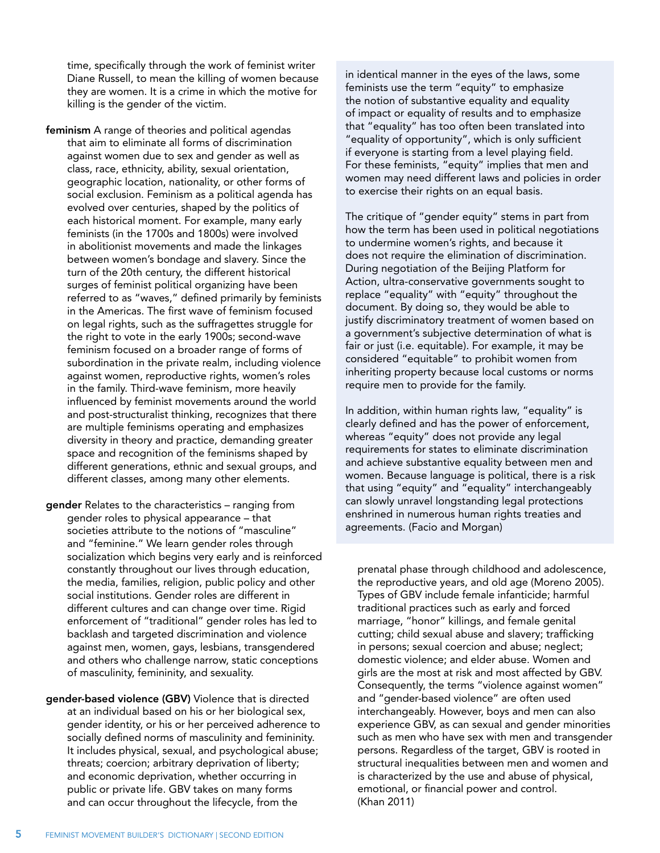<span id="page-5-0"></span>time, specifically through the work of feminist writer Diane Russell, to mean the killing of women because they are women. It is a crime in which the motive for killing is the gender of the victim.

feminism A range of theories and political agendas that aim to eliminate all forms of discrimination against women due to sex and gender as well as class, race, ethnicity, ability, sexual orientation, geographic location, nationality, or other forms of social exclusion. Feminism as a political agenda has evolved over centuries, shaped by the politics of each historical moment. For example, many early feminists (in the 1700s and 1800s) were involved in abolitionist movements and made the linkages between women's bondage and slavery. Since the turn of the 20th century, the different historical surges of feminist political organizing have been referred to as "waves," defined primarily by feminists in the Americas. The first wave of feminism focused on legal rights, such as the suffragettes struggle for the right to vote in the early 1900s; second-wave feminism focused on a broader range of forms of subordination in the private realm, including violence against women, reproductive rights, women's roles in the family. Third-wave feminism, more heavily influenced by feminist movements around the world and post-structuralist thinking, recognizes that there are multiple feminisms operating and emphasizes diversity in theory and practice, demanding greater space and recognition of the feminisms shaped by different generations, ethnic and sexual groups, and different classes, among many other elements.

gender Relates to the characteristics – ranging from gender roles to physical appearance – that societies attribute to the notions of "masculine" and "feminine." We learn gender roles through socialization which begins very early and is reinforced constantly throughout our lives through education, the media, families, religion, public policy and other social institutions. Gender roles are different in different cultures and can change over time. Rigid enforcement of "traditional" gender roles has led to backlash and targeted discrimination and violence against men, women, gays, lesbians, transgendered and others who challenge narrow, static conceptions of masculinity, femininity, and sexuality.

gender-based violence (GBV) Violence that is directed at an individual based on his or her biological sex, gender identity, or his or her perceived adherence to socially defined norms of masculinity and femininity. It includes physical, sexual, and psychological abuse; threats; coercion; arbitrary deprivation of liberty; and economic deprivation, whether occurring in public or private life. GBV takes on many forms and can occur throughout the lifecycle, from the

in identical manner in the eyes of the laws, some feminists use the term "equity" to emphasize the notion of substantive equality and equality of impact or equality of results and to emphasize that "equality" has too often been translated into "equality of opportunity", which is only sufficient if everyone is starting from a level playing field. For these feminists, "equity" implies that men and women may need different laws and policies in order to exercise their rights on an equal basis.

The critique of "gender equity" stems in part from how the term has been used in political negotiations to undermine women's rights, and because it does not require the elimination of discrimination. During negotiation of the Beijing Platform for Action, ultra-conservative governments sought to replace "equality" with "equity" throughout the document. By doing so, they would be able to justify discriminatory treatment of women based on a government's subjective determination of what is fair or just (i.e. equitable). For example, it may be considered "equitable" to prohibit women from inheriting property because local customs or norms require men to provide for the family.

In addition, within human rights law, "equality" is clearly defined and has the power of enforcement, whereas "equity" does not provide any legal requirements for states to eliminate discrimination and achieve substantive equality between men and women. Because language is political, there is a risk that using "equity" and "equality" interchangeably can slowly unravel longstanding legal protections enshrined in numerous human rights treaties and agreements. (Facio and Morgan)

prenatal phase through childhood and adolescence, the reproductive years, and old age (Moreno 2005). Types of GBV include female infanticide; harmful traditional practices such as early and forced marriage, "honor" killings, and female genital cutting; child sexual abuse and slavery; trafficking in persons; sexual coercion and abuse; neglect; domestic violence; and elder abuse. Women and girls are the most at risk and most affected by GBV. Consequently, the terms "violence against women" and "gender-based violence" are often used interchangeably. However, boys and men can also experience GBV, as can sexual and gender minorities such as men who have sex with men and transgender persons. Regardless of the target, GBV is rooted in structural inequalities between men and women and is characterized by the use and abuse of physical, emotional, or financial power and control. (Khan 2011)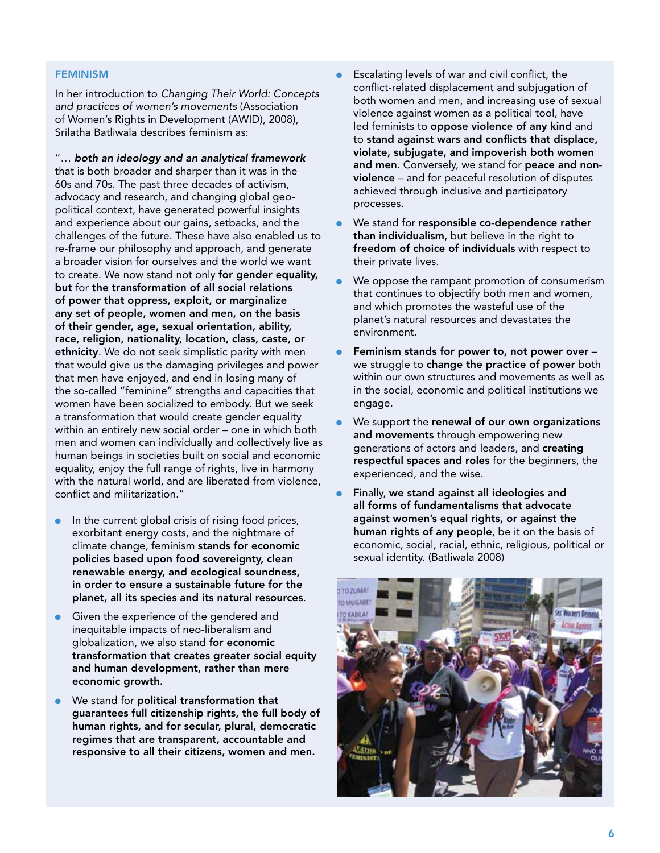#### **FEMINISM**

In her introduction to *Changing Their World: Concepts and practices of women's movements* (Association of Women's Rights in Development (AWID), 2008), Srilatha Batliwala describes feminism as:

"… *both an ideology and an analytical framework* that is both broader and sharper than it was in the 60s and 70s. The past three decades of activism, advocacy and research, and changing global geopolitical context, have generated powerful insights and experience about our gains, setbacks, and the challenges of the future. These have also enabled us to re-frame our philosophy and approach, and generate a broader vision for ourselves and the world we want to create. We now stand not only for gender equality, but for the transformation of all social relations of power that oppress, exploit, or marginalize any set of people, women and men, on the basis of their gender, age, sexual orientation, ability, race, religion, nationality, location, class, caste, or ethnicity. We do not seek simplistic parity with men that would give us the damaging privileges and power that men have enjoyed, and end in losing many of the so-called "feminine" strengths and capacities that women have been socialized to embody. But we seek a transformation that would create gender equality within an entirely new social order – one in which both men and women can individually and collectively live as human beings in societies built on social and economic equality, enjoy the full range of rights, live in harmony with the natural world, and are liberated from violence, conflict and militarization."

- In the current global crisis of rising food prices, exorbitant energy costs, and the nightmare of climate change, feminism stands for economic policies based upon food sovereignty, clean renewable energy, and ecological soundness, in order to ensure a sustainable future for the planet, all its species and its natural resources.
- Given the experience of the gendered and inequitable impacts of neo-liberalism and globalization, we also stand for economic transformation that creates greater social equity and human development, rather than mere economic growth.
- We stand for political transformation that guarantees full citizenship rights, the full body of human rights, and for secular, plural, democratic regimes that are transparent, accountable and responsive to all their citizens, women and men.
- Escalating levels of war and civil conflict, the conflict-related displacement and subjugation of both women and men, and increasing use of sexual violence against women as a political tool, have led feminists to oppose violence of any kind and to stand against wars and conflicts that displace, violate, subjugate, and impoverish both women and men. Conversely, we stand for peace and nonviolence – and for peaceful resolution of disputes achieved through inclusive and participatory processes.
- We stand for responsible co-dependence rather than individualism, but believe in the right to freedom of choice of individuals with respect to their private lives.
- We oppose the rampant promotion of consumerism that continues to objectify both men and women, and which promotes the wasteful use of the planet's natural resources and devastates the environment.
- Feminism stands for power to, not power over  $$ we struggle to change the practice of power both within our own structures and movements as well as in the social, economic and political institutions we engage.
- We support the renewal of our own organizations and movements through empowering new generations of actors and leaders, and creating respectful spaces and roles for the beginners, the experienced, and the wise.
- Finally, we stand against all ideologies and all forms of fundamentalisms that advocate against women's equal rights, or against the human rights of any people, be it on the basis of economic, social, racial, ethnic, religious, political or sexual identity. (Batliwala 2008)

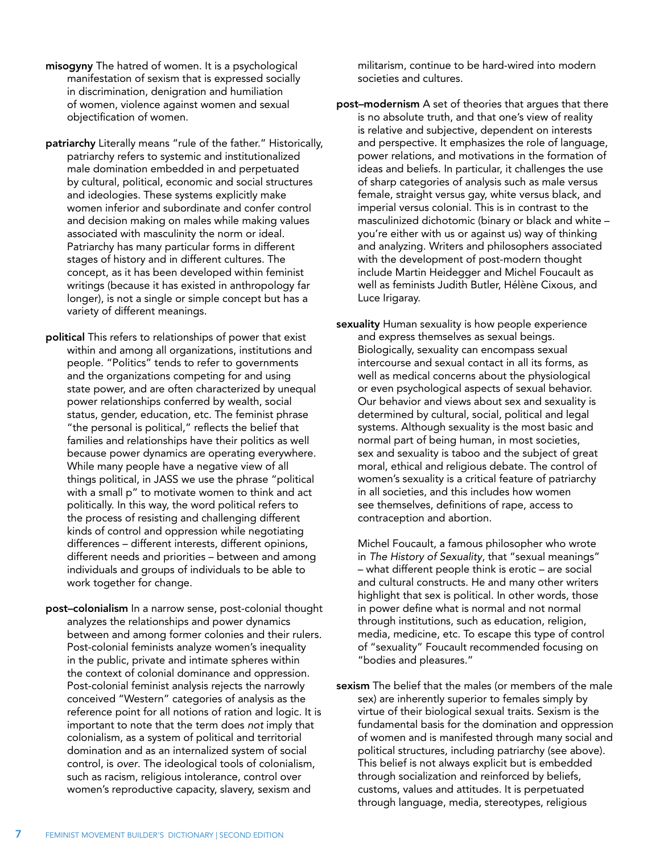- <span id="page-7-0"></span>misogyny The hatred of women. It is a psychological manifestation of sexism that is expressed socially in discrimination, denigration and humiliation of women, violence against women and sexual objectification of women.
- patriarchy Literally means "rule of the father." Historically, patriarchy refers to systemic and institutionalized male domination embedded in and perpetuated by cultural, political, economic and social structures and ideologies. These systems explicitly make women inferior and subordinate and confer control and decision making on males while making values associated with masculinity the norm or ideal. Patriarchy has many particular forms in different stages of history and in different cultures. The concept, as it has been developed within feminist writings (because it has existed in anthropology far longer), is not a single or simple concept but has a variety of different meanings.
- political This refers to relationships of power that exist within and among all organizations, institutions and people. "Politics" tends to refer to governments and the organizations competing for and using state power, and are often characterized by unequal power relationships conferred by wealth, social status, gender, education, etc. The feminist phrase "the personal is political," reflects the belief that families and relationships have their politics as well because power dynamics are operating everywhere. While many people have a negative view of all things political, in JASS we use the phrase "political with a small p" to motivate women to think and act politically. In this way, the word political refers to the process of resisting and challenging different kinds of control and oppression while negotiating differences – different interests, different opinions, different needs and priorities – between and among individuals and groups of individuals to be able to work together for change.
- post–colonialism In a narrow sense, post-colonial thought analyzes the relationships and power dynamics between and among former colonies and their rulers. Post-colonial feminists analyze women's inequality in the public, private and intimate spheres within the context of colonial dominance and oppression. Post-colonial feminist analysis rejects the narrowly conceived "Western" categories of analysis as the reference point for all notions of ration and logic. It is important to note that the term does *not* imply that colonialism, as a system of political and territorial domination and as an internalized system of social control, is *over*. The ideological tools of colonialism, such as racism, religious intolerance, control over women's reproductive capacity, slavery, sexism and

militarism, continue to be hard-wired into modern societies and cultures.

- post–modernism A set of theories that argues that there is no absolute truth, and that one's view of reality is relative and subjective, dependent on interests and perspective. It emphasizes the role of language, power relations, and motivations in the formation of ideas and beliefs. In particular, it challenges the use of sharp categories of analysis such as male versus female, straight versus gay, white versus black, and imperial versus colonial. This is in contrast to the masculinized dichotomic (binary or black and white – you're either with us or against us) way of thinking and analyzing. Writers and philosophers associated with the development of post-modern thought include Martin Heidegger and Michel Foucault as well as feminists Judith Butler, Hélène Cixous, and Luce Irigaray.
- sexuality Human sexuality is how people experience and express themselves as sexual beings. Biologically, sexuality can encompass sexual intercourse and sexual contact in all its forms, as well as medical concerns about the physiological or even psychological aspects of sexual behavior. Our behavior and views about sex and sexuality is determined by cultural, social, political and legal systems. Although sexuality is the most basic and normal part of being human, in most societies, sex and sexuality is taboo and the subject of great moral, ethical and religious debate. The control of women's sexuality is a critical feature of patriarchy in all societies, and this includes how women see themselves, definitions of rape, access to contraception and abortion.

 Michel Foucault, a famous philosopher who wrote in *The History of Sexuality*, that "sexual meanings" – what different people think is erotic – are social and cultural constructs. He and many other writers highlight that sex is political. In other words, those in power define what is normal and not normal through institutions, such as education, religion, media, medicine, etc. To escape this type of control of "sexuality" Foucault recommended focusing on "bodies and pleasures."

sexism The belief that the males (or members of the male sex) are inherently superior to females simply by virtue of their biological sexual traits. Sexism is the fundamental basis for the domination and oppression of women and is manifested through many social and political structures, including patriarchy (see above). This belief is not always explicit but is embedded through socialization and reinforced by beliefs, customs, values and attitudes. It is perpetuated through language, media, stereotypes, religious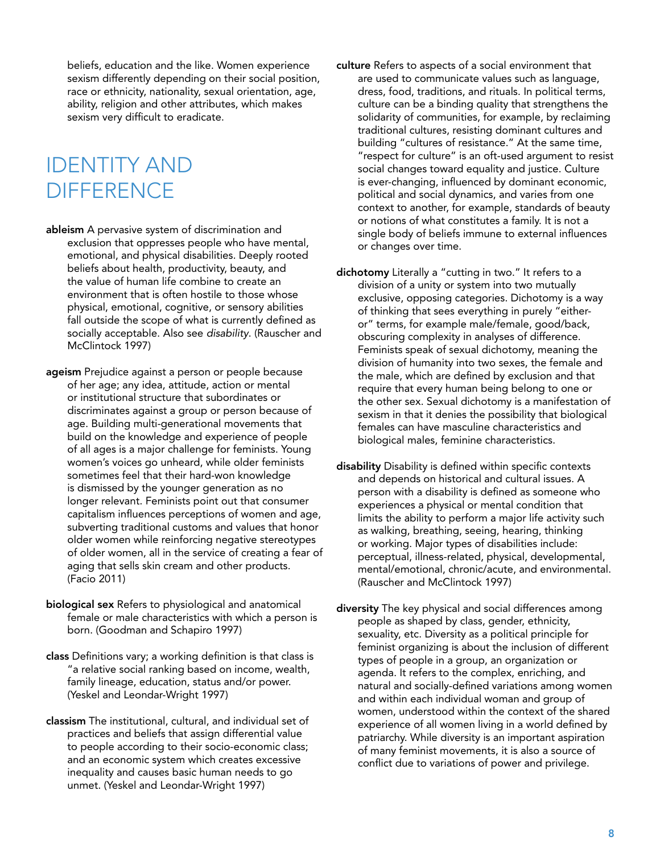<span id="page-8-0"></span>beliefs, education and the like. Women experience sexism differently depending on their social position, race or ethnicity, nationality, sexual orientation, age, ability, religion and other attributes, which makes sexism very difficult to eradicate.

### IDENTITY AND **DIFFERENCE**

- ableism A pervasive system of discrimination and exclusion that oppresses people who have mental, emotional, and physical disabilities. Deeply rooted beliefs about health, productivity, beauty, and the value of human life combine to create an environment that is often hostile to those whose physical, emotional, cognitive, or sensory abilities fall outside the scope of what is currently defined as socially acceptable. Also see *disability*. (Rauscher and McClintock 1997)
- ageism Prejudice against a person or people because of her age; any idea, attitude, action or mental or institutional structure that subordinates or discriminates against a group or person because of age. Building multi-generational movements that build on the knowledge and experience of people of all ages is a major challenge for feminists. Young women's voices go unheard, while older feminists sometimes feel that their hard-won knowledge is dismissed by the younger generation as no longer relevant. Feminists point out that consumer capitalism influences perceptions of women and age, subverting traditional customs and values that honor older women while reinforcing negative stereotypes of older women, all in the service of creating a fear of aging that sells skin cream and other products. (Facio 2011)
- biological sex Refers to physiological and anatomical female or male characteristics with which a person is born. (Goodman and Schapiro 1997)
- class Definitions vary; a working definition is that class is "a relative social ranking based on income, wealth, family lineage, education, status and/or power. (Yeskel and Leondar-Wright 1997)
- classism The institutional, cultural, and individual set of practices and beliefs that assign differential value to people according to their socio-economic class; and an economic system which creates excessive inequality and causes basic human needs to go unmet. (Yeskel and Leondar-Wright 1997)
- culture Refers to aspects of a social environment that are used to communicate values such as language, dress, food, traditions, and rituals. In political terms, culture can be a binding quality that strengthens the solidarity of communities, for example, by reclaiming traditional cultures, resisting dominant cultures and building "cultures of resistance." At the same time, "respect for culture" is an oft-used argument to resist social changes toward equality and justice. Culture is ever-changing, influenced by dominant economic, political and social dynamics, and varies from one context to another, for example, standards of beauty or notions of what constitutes a family. It is not a single body of beliefs immune to external influences or changes over time.
- dichotomy Literally a "cutting in two." It refers to a division of a unity or system into two mutually exclusive, opposing categories. Dichotomy is a way of thinking that sees everything in purely "eitheror" terms, for example male/female, good/back, obscuring complexity in analyses of difference. Feminists speak of sexual dichotomy, meaning the division of humanity into two sexes, the female and the male, which are defined by exclusion and that require that every human being belong to one or the other sex. Sexual dichotomy is a manifestation of sexism in that it denies the possibility that biological females can have masculine characteristics and biological males, feminine characteristics.
- disability Disability is defined within specific contexts and depends on historical and cultural issues. A person with a disability is defined as someone who experiences a physical or mental condition that limits the ability to perform a major life activity such as walking, breathing, seeing, hearing, thinking or working. Major types of disabilities include: perceptual, illness-related, physical, developmental, mental/emotional, chronic/acute, and environmental. (Rauscher and McClintock 1997)
- diversity The key physical and social differences among people as shaped by class, gender, ethnicity, sexuality, etc. Diversity as a political principle for feminist organizing is about the inclusion of different types of people in a group, an organization or agenda. It refers to the complex, enriching, and natural and socially-defined variations among women and within each individual woman and group of women, understood within the context of the shared experience of all women living in a world defined by patriarchy. While diversity is an important aspiration of many feminist movements, it is also a source of conflict due to variations of power and privilege.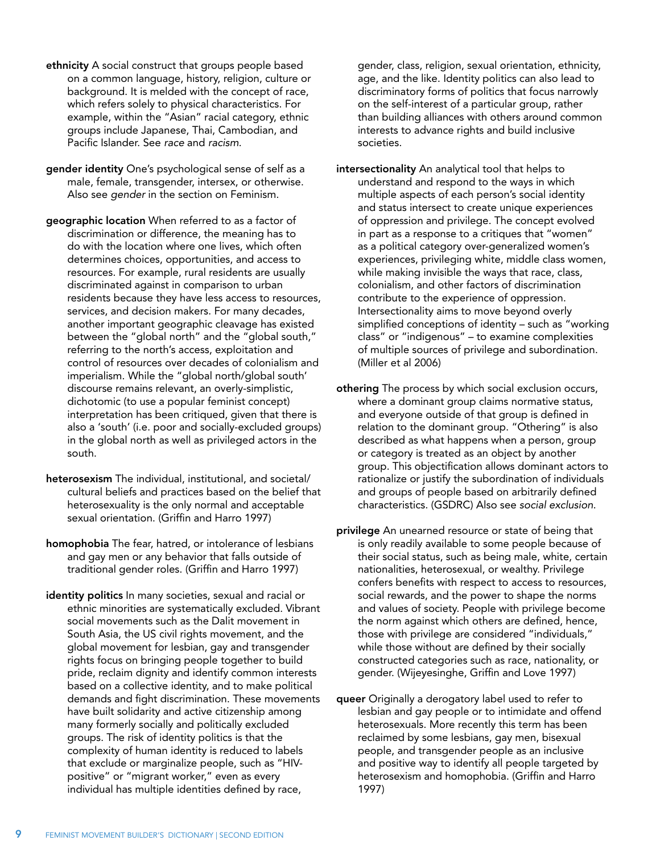- <span id="page-9-0"></span>ethnicity A social construct that groups people based on a common language, history, religion, culture or background. It is melded with the concept of race, which refers solely to physical characteristics. For example, within the "Asian" racial category, ethnic groups include Japanese, Thai, Cambodian, and Pacific Islander. See *race* and *racism*.
- gender identity One's psychological sense of self as a male, female, transgender, intersex, or otherwise. Also see *gender* in the section on Feminism.
- geographic location When referred to as a factor of discrimination or difference, the meaning has to do with the location where one lives, which often determines choices, opportunities, and access to resources. For example, rural residents are usually discriminated against in comparison to urban residents because they have less access to resources, services, and decision makers. For many decades, another important geographic cleavage has existed between the "global north" and the "global south," referring to the north's access, exploitation and control of resources over decades of colonialism and imperialism. While the "global north/global south' discourse remains relevant, an overly-simplistic, dichotomic (to use a popular feminist concept) interpretation has been critiqued, given that there is also a 'south' (i.e. poor and socially-excluded groups) in the global north as well as privileged actors in the south.
- heterosexism The individual, institutional, and societal/ cultural beliefs and practices based on the belief that heterosexuality is the only normal and acceptable sexual orientation. (Griffin and Harro 1997)
- homophobia The fear, hatred, or intolerance of lesbians and gay men or any behavior that falls outside of traditional gender roles. (Griffin and Harro 1997)
- identity politics In many societies, sexual and racial or ethnic minorities are systematically excluded. Vibrant social movements such as the Dalit movement in South Asia, the US civil rights movement, and the global movement for lesbian, gay and transgender rights focus on bringing people together to build pride, reclaim dignity and identify common interests based on a collective identity, and to make political demands and fight discrimination. These movements have built solidarity and active citizenship among many formerly socially and politically excluded groups. The risk of identity politics is that the complexity of human identity is reduced to labels that exclude or marginalize people, such as "HIVpositive" or "migrant worker," even as every individual has multiple identities defined by race,

gender, class, religion, sexual orientation, ethnicity, age, and the like. Identity politics can also lead to discriminatory forms of politics that focus narrowly on the self-interest of a particular group, rather than building alliances with others around common interests to advance rights and build inclusive societies.

- intersectionality An analytical tool that helps to understand and respond to the ways in which multiple aspects of each person's social identity and status intersect to create unique experiences of oppression and privilege. The concept evolved in part as a response to a critiques that "women" as a political category over-generalized women's experiences, privileging white, middle class women, while making invisible the ways that race, class, colonialism, and other factors of discrimination contribute to the experience of oppression. Intersectionality aims to move beyond overly simplified conceptions of identity – such as "working class" or "indigenous" – to examine complexities of multiple sources of privilege and subordination. (Miller et al 2006)
- othering The process by which social exclusion occurs, where a dominant group claims normative status, and everyone outside of that group is defined in relation to the dominant group. "Othering" is also described as what happens when a person, group or category is treated as an object by another group. This objectification allows dominant actors to rationalize or justify the subordination of individuals and groups of people based on arbitrarily defined characteristics. (GSDRC) Also see *social exclusion*.
- privilege An unearned resource or state of being that is only readily available to some people because of their social status, such as being male, white, certain nationalities, heterosexual, or wealthy. Privilege confers benefits with respect to access to resources, social rewards, and the power to shape the norms and values of society. People with privilege become the norm against which others are defined, hence, those with privilege are considered "individuals," while those without are defined by their socially constructed categories such as race, nationality, or gender. (Wijeyesinghe, Griffin and Love 1997)
- queer Originally a derogatory label used to refer to lesbian and gay people or to intimidate and offend heterosexuals. More recently this term has been reclaimed by some lesbians, gay men, bisexual people, and transgender people as an inclusive and positive way to identify all people targeted by heterosexism and homophobia. (Griffin and Harro 1997)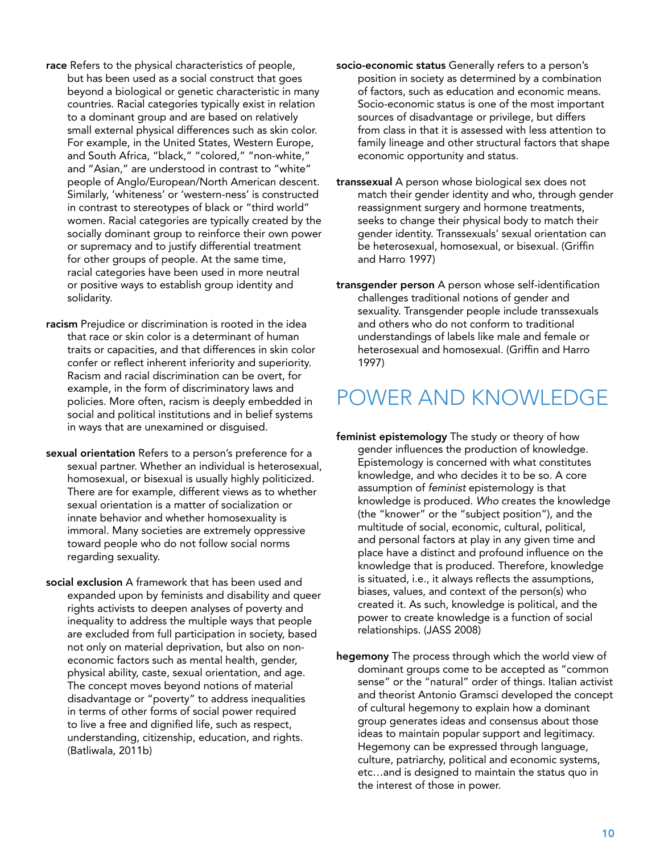- <span id="page-10-0"></span>race Refers to the physical characteristics of people, but has been used as a social construct that goes beyond a biological or genetic characteristic in many countries. Racial categories typically exist in relation to a dominant group and are based on relatively small external physical differences such as skin color. For example, in the United States, Western Europe, and South Africa, "black," "colored," "non-white," and "Asian," are understood in contrast to "white" people of Anglo/European/North American descent. Similarly, 'whiteness' or 'western-ness' is constructed in contrast to stereotypes of black or "third world" women. Racial categories are typically created by the socially dominant group to reinforce their own power or supremacy and to justify differential treatment for other groups of people. At the same time, racial categories have been used in more neutral or positive ways to establish group identity and solidarity.
- racism Prejudice or discrimination is rooted in the idea that race or skin color is a determinant of human traits or capacities, and that differences in skin color confer or reflect inherent inferiority and superiority. Racism and racial discrimination can be overt, for example, in the form of discriminatory laws and policies. More often, racism is deeply embedded in social and political institutions and in belief systems in ways that are unexamined or disguised.
- sexual orientation Refers to a person's preference for a sexual partner. Whether an individual is heterosexual, homosexual, or bisexual is usually highly politicized. There are for example, different views as to whether sexual orientation is a matter of socialization or innate behavior and whether homosexuality is immoral. Many societies are extremely oppressive toward people who do not follow social norms regarding sexuality.
- social exclusion A framework that has been used and expanded upon by feminists and disability and queer rights activists to deepen analyses of poverty and inequality to address the multiple ways that people are excluded from full participation in society, based not only on material deprivation, but also on noneconomic factors such as mental health, gender, physical ability, caste, sexual orientation, and age. The concept moves beyond notions of material disadvantage or "poverty" to address inequalities in terms of other forms of social power required to live a free and dignified life, such as respect, understanding, citizenship, education, and rights. (Batliwala, 2011b)
- socio-economic status Generally refers to a person's position in society as determined by a combination of factors, such as education and economic means. Socio-economic status is one of the most important sources of disadvantage or privilege, but differs from class in that it is assessed with less attention to family lineage and other structural factors that shape economic opportunity and status.
- transsexual A person whose biological sex does not match their gender identity and who, through gender reassignment surgery and hormone treatments, seeks to change their physical body to match their gender identity. Transsexuals' sexual orientation can be heterosexual, homosexual, or bisexual. (Griffin and Harro 1997)
- transgender person A person whose self-identification challenges traditional notions of gender and sexuality. Transgender people include transsexuals and others who do not conform to traditional understandings of labels like male and female or heterosexual and homosexual. (Griffin and Harro 1997)

### POWER AND KNOWLEDGE

- feminist epistemology The study or theory of how gender influences the production of knowledge. Epistemology is concerned with what constitutes knowledge, and who decides it to be so. A core assumption of *feminist* epistemology is that knowledge is produced. *Who* creates the knowledge (the "knower" or the "subject position"), and the multitude of social, economic, cultural, political, and personal factors at play in any given time and place have a distinct and profound influence on the knowledge that is produced. Therefore, knowledge is situated, i.e., it always reflects the assumptions, biases, values, and context of the person(s) who created it. As such, knowledge is political, and the power to create knowledge is a function of social relationships. (JASS 2008)
- hegemony The process through which the world view of dominant groups come to be accepted as "common sense" or the "natural" order of things. Italian activist and theorist Antonio Gramsci developed the concept of cultural hegemony to explain how a dominant group generates ideas and consensus about those ideas to maintain popular support and legitimacy. Hegemony can be expressed through language, culture, patriarchy, political and economic systems, etc…and is designed to maintain the status quo in the interest of those in power.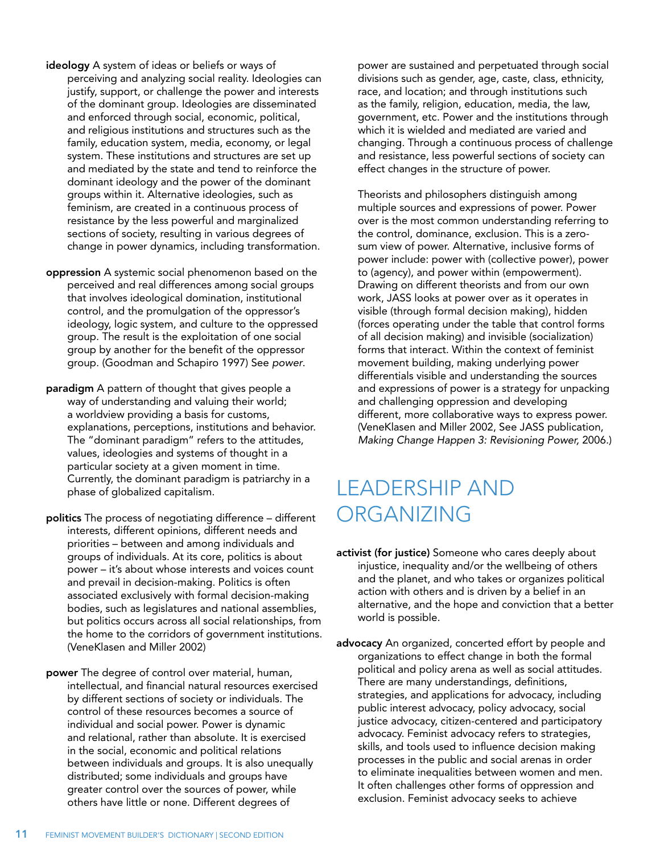- <span id="page-11-0"></span>ideology A system of ideas or beliefs or ways of perceiving and analyzing social reality. Ideologies can justify, support, or challenge the power and interests of the dominant group. Ideologies are disseminated and enforced through social, economic, political, and religious institutions and structures such as the family, education system, media, economy, or legal system. These institutions and structures are set up and mediated by the state and tend to reinforce the dominant ideology and the power of the dominant groups within it. Alternative ideologies, such as feminism, are created in a continuous process of resistance by the less powerful and marginalized sections of society, resulting in various degrees of change in power dynamics, including transformation.
- oppression A systemic social phenomenon based on the perceived and real differences among social groups that involves ideological domination, institutional control, and the promulgation of the oppressor's ideology, logic system, and culture to the oppressed group. The result is the exploitation of one social group by another for the benefit of the oppressor group. (Goodman and Schapiro 1997) See *power*.
- paradigm A pattern of thought that gives people a way of understanding and valuing their world; a worldview providing a basis for customs, explanations, perceptions, institutions and behavior. The "dominant paradigm" refers to the attitudes, values, ideologies and systems of thought in a particular society at a given moment in time. Currently, the dominant paradigm is patriarchy in a phase of globalized capitalism.
- politics The process of negotiating difference different interests, different opinions, different needs and priorities – between and among individuals and groups of individuals. At its core, politics is about power – it's about whose interests and voices count and prevail in decision-making. Politics is often associated exclusively with formal decision-making bodies, such as legislatures and national assemblies, but politics occurs across all social relationships, from the home to the corridors of government institutions. (VeneKlasen and Miller 2002)
- power The degree of control over material, human, intellectual, and financial natural resources exercised by different sections of society or individuals. The control of these resources becomes a source of individual and social power. Power is dynamic and relational, rather than absolute. It is exercised in the social, economic and political relations between individuals and groups. It is also unequally distributed; some individuals and groups have greater control over the sources of power, while others have little or none. Different degrees of

power are sustained and perpetuated through social divisions such as gender, age, caste, class, ethnicity, race, and location; and through institutions such as the family, religion, education, media, the law, government, etc. Power and the institutions through which it is wielded and mediated are varied and changing. Through a continuous process of challenge and resistance, less powerful sections of society can effect changes in the structure of power.

 Theorists and philosophers distinguish among multiple sources and expressions of power. Power over is the most common understanding referring to the control, dominance, exclusion. This is a zerosum view of power. Alternative, inclusive forms of power include: power with (collective power), power to (agency), and power within (empowerment). Drawing on different theorists and from our own work, JASS looks at power over as it operates in visible (through formal decision making), hidden (forces operating under the table that control forms of all decision making) and invisible (socialization) forms that interact. Within the context of feminist movement building, making underlying power differentials visible and understanding the sources and expressions of power is a strategy for unpacking and challenging oppression and developing different, more collaborative ways to express power. (VeneKlasen and Miller 2002, See JASS publication, *Making Change Happen 3: Revisioning Power,* 2006.)

### LEADERSHIP AND ORGANIZING

- activist (for justice) Someone who cares deeply about injustice, inequality and/or the wellbeing of others and the planet, and who takes or organizes political action with others and is driven by a belief in an alternative, and the hope and conviction that a better world is possible.
- advocacy An organized, concerted effort by people and organizations to effect change in both the formal political and policy arena as well as social attitudes. There are many understandings, definitions, strategies, and applications for advocacy, including public interest advocacy, policy advocacy, social justice advocacy, citizen-centered and participatory advocacy. Feminist advocacy refers to strategies, skills, and tools used to influence decision making processes in the public and social arenas in order to eliminate inequalities between women and men. It often challenges other forms of oppression and exclusion. Feminist advocacy seeks to achieve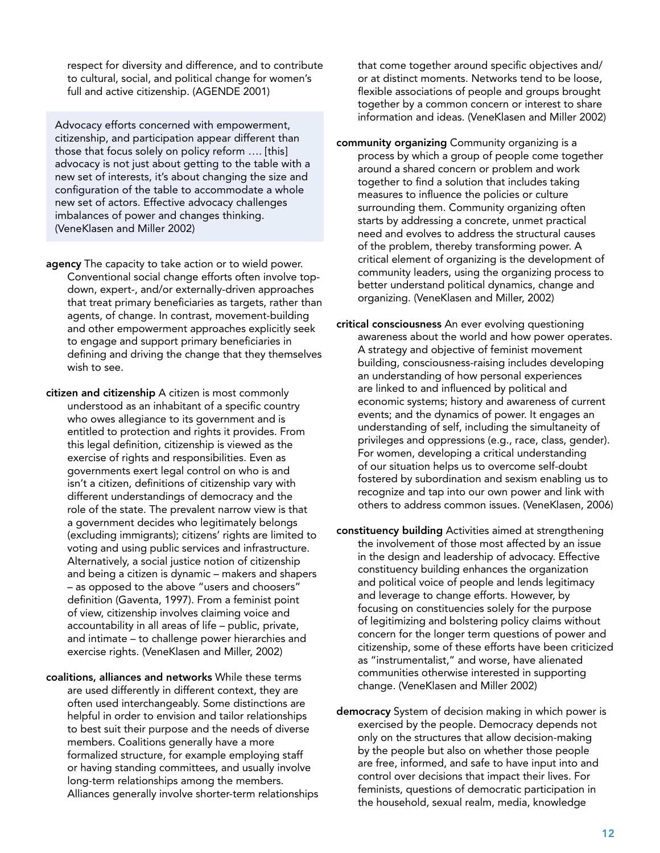<span id="page-12-0"></span>respect for diversity and difference, and to contribute to cultural, social, and political change for women's full and active citizenship. (AGENDE 2001)

Advocacy efforts concerned with empowerment, citizenship, and participation appear different than those that focus solely on policy reform …. [this] advocacy is not just about getting to the table with a new set of interests, it's about changing the size and configuration of the table to accommodate a whole new set of actors. Effective advocacy challenges imbalances of power and changes thinking. (VeneKlasen and Miller 2002)

- agency The capacity to take action or to wield power. Conventional social change efforts often involve topdown, expert-, and/or externally-driven approaches that treat primary beneficiaries as targets, rather than agents, of change. In contrast, movement-building and other empowerment approaches explicitly seek to engage and support primary beneficiaries in defining and driving the change that they themselves wish to see.
- citizen and citizenship A citizen is most commonly understood as an inhabitant of a specific country who owes allegiance to its government and is entitled to protection and rights it provides. From this legal definition, citizenship is viewed as the exercise of rights and responsibilities. Even as governments exert legal control on who is and isn't a citizen, definitions of citizenship vary with different understandings of democracy and the role of the state. The prevalent narrow view is that a government decides who legitimately belongs (excluding immigrants); citizens' rights are limited to voting and using public services and infrastructure. Alternatively, a social justice notion of citizenship and being a citizen is dynamic – makers and shapers – as opposed to the above "users and choosers" definition (Gaventa, 1997). From a feminist point of view, citizenship involves claiming voice and accountability in all areas of life – public, private, and intimate – to challenge power hierarchies and exercise rights. (VeneKlasen and Miller, 2002)
- coalitions, alliances and networks While these terms are used differently in different context, they are often used interchangeably. Some distinctions are helpful in order to envision and tailor relationships to best suit their purpose and the needs of diverse members. Coalitions generally have a more formalized structure, for example employing staff or having standing committees, and usually involve long-term relationships among the members. Alliances generally involve shorter-term relationships

that come together around specific objectives and/ or at distinct moments. Networks tend to be loose, flexible associations of people and groups brought together by a common concern or interest to share information and ideas. (VeneKlasen and Miller 2002)

- community organizing Community organizing is a process by which a group of people come together around a shared concern or problem and work together to find a solution that includes taking measures to influence the policies or culture surrounding them. Community organizing often starts by addressing a concrete, unmet practical need and evolves to address the structural causes of the problem, thereby transforming power. A critical element of organizing is the development of community leaders, using the organizing process to better understand political dynamics, change and organizing. (VeneKlasen and Miller, 2002)
- critical consciousness An ever evolving questioning awareness about the world and how power operates. A strategy and objective of feminist movement building, consciousness-raising includes developing an understanding of how personal experiences are linked to and influenced by political and economic systems; history and awareness of current events; and the dynamics of power. It engages an understanding of self, including the simultaneity of privileges and oppressions (e.g., race, class, gender). For women, developing a critical understanding of our situation helps us to overcome self-doubt fostered by subordination and sexism enabling us to recognize and tap into our own power and link with others to address common issues. (VeneKlasen, 2006)
- constituency building Activities aimed at strengthening the involvement of those most affected by an issue in the design and leadership of advocacy. Effective constituency building enhances the organization and political voice of people and lends legitimacy and leverage to change efforts. However, by focusing on constituencies solely for the purpose of legitimizing and bolstering policy claims without concern for the longer term questions of power and citizenship, some of these efforts have been criticized as "instrumentalist," and worse, have alienated communities otherwise interested in supporting change. (VeneKlasen and Miller 2002)
- democracy System of decision making in which power is exercised by the people. Democracy depends not only on the structures that allow decision-making by the people but also on whether those people are free, informed, and safe to have input into and control over decisions that impact their lives. For feminists, questions of democratic participation in the household, sexual realm, media, knowledge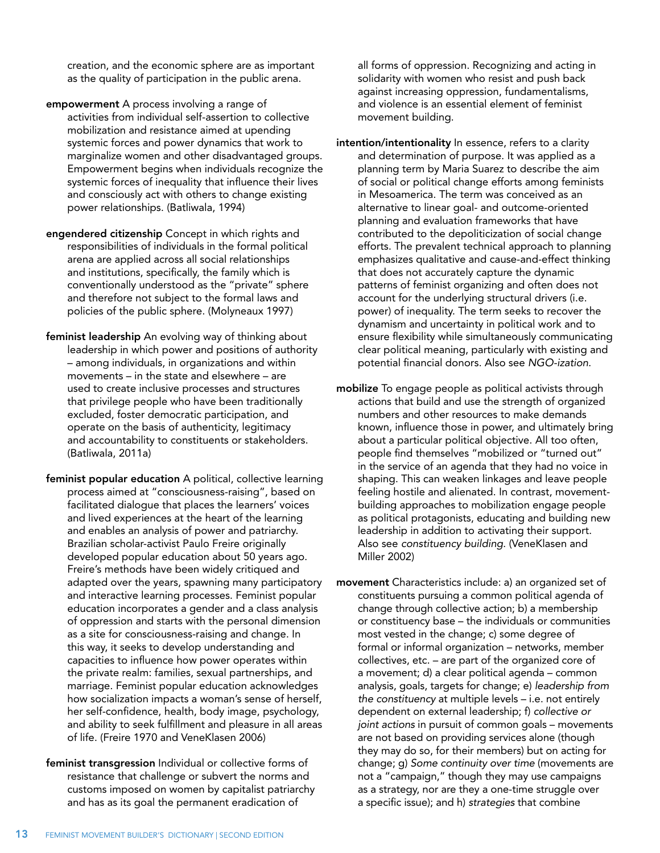<span id="page-13-0"></span>creation, and the economic sphere are as important as the quality of participation in the public arena.

- empowerment A process involving a range of activities from individual self-assertion to collective mobilization and resistance aimed at upending systemic forces and power dynamics that work to marginalize women and other disadvantaged groups. Empowerment begins when individuals recognize the systemic forces of inequality that influence their lives and consciously act with others to change existing power relationships. (Batliwala, 1994)
- engendered citizenship Concept in which rights and responsibilities of individuals in the formal political arena are applied across all social relationships and institutions, specifically, the family which is conventionally understood as the "private" sphere and therefore not subject to the formal laws and policies of the public sphere. (Molyneaux 1997)
- feminist leadership An evolving way of thinking about leadership in which power and positions of authority – among individuals, in organizations and within movements – in the state and elsewhere – are used to create inclusive processes and structures that privilege people who have been traditionally excluded, foster democratic participation, and operate on the basis of authenticity, legitimacy and accountability to constituents or stakeholders. (Batliwala, 2011a)
- feminist popular education A political, collective learning process aimed at "consciousness-raising", based on facilitated dialogue that places the learners' voices and lived experiences at the heart of the learning and enables an analysis of power and patriarchy. Brazilian scholar-activist Paulo Freire originally developed popular education about 50 years ago. Freire's methods have been widely critiqued and adapted over the years, spawning many participatory and interactive learning processes. Feminist popular education incorporates a gender and a class analysis of oppression and starts with the personal dimension as a site for consciousness-raising and change. In this way, it seeks to develop understanding and capacities to influence how power operates within the private realm: families, sexual partnerships, and marriage. Feminist popular education acknowledges how socialization impacts a woman's sense of herself, her self-confidence, health, body image, psychology, and ability to seek fulfillment and pleasure in all areas of life. (Freire 1970 and VeneKlasen 2006)
- feminist transgression Individual or collective forms of resistance that challenge or subvert the norms and customs imposed on women by capitalist patriarchy and has as its goal the permanent eradication of

all forms of oppression. Recognizing and acting in solidarity with women who resist and push back against increasing oppression, fundamentalisms, and violence is an essential element of feminist movement building.

- intention/intentionality In essence, refers to a clarity and determination of purpose. It was applied as a planning term by Maria Suarez to describe the aim of social or political change efforts among feminists in Mesoamerica. The term was conceived as an alternative to linear goal- and outcome-oriented planning and evaluation frameworks that have contributed to the depoliticization of social change efforts. The prevalent technical approach to planning emphasizes qualitative and cause-and-effect thinking that does not accurately capture the dynamic patterns of feminist organizing and often does not account for the underlying structural drivers (i.e. power) of inequality. The term seeks to recover the dynamism and uncertainty in political work and to ensure flexibility while simultaneously communicating clear political meaning, particularly with existing and potential financial donors. Also see *NGO-ization*.
- mobilize To engage people as political activists through actions that build and use the strength of organized numbers and other resources to make demands known, influence those in power, and ultimately bring about a particular political objective. All too often, people find themselves "mobilized or "turned out" in the service of an agenda that they had no voice in shaping. This can weaken linkages and leave people feeling hostile and alienated. In contrast, movementbuilding approaches to mobilization engage people as political protagonists, educating and building new leadership in addition to activating their support. Also see *constituency building*. (VeneKlasen and Miller 2002)

movement Characteristics include: a) an organized set of constituents pursuing a common political agenda of change through collective action; b) a membership or constituency base – the individuals or communities most vested in the change; c) some degree of formal or informal organization – networks, member collectives, etc. – are part of the organized core of a movement; d) a clear political agenda – common analysis, goals, targets for change; e) *leadership from the constituency* at multiple levels – i.e. not entirely dependent on external leadership; f) *collective or joint actions* in pursuit of common goals – movements are not based on providing services alone (though they may do so, for their members) but on acting for change; g) *Some continuity over time* (movements are not a "campaign," though they may use campaigns as a strategy, nor are they a one-time struggle over a specific issue); and h) *strategies* that combine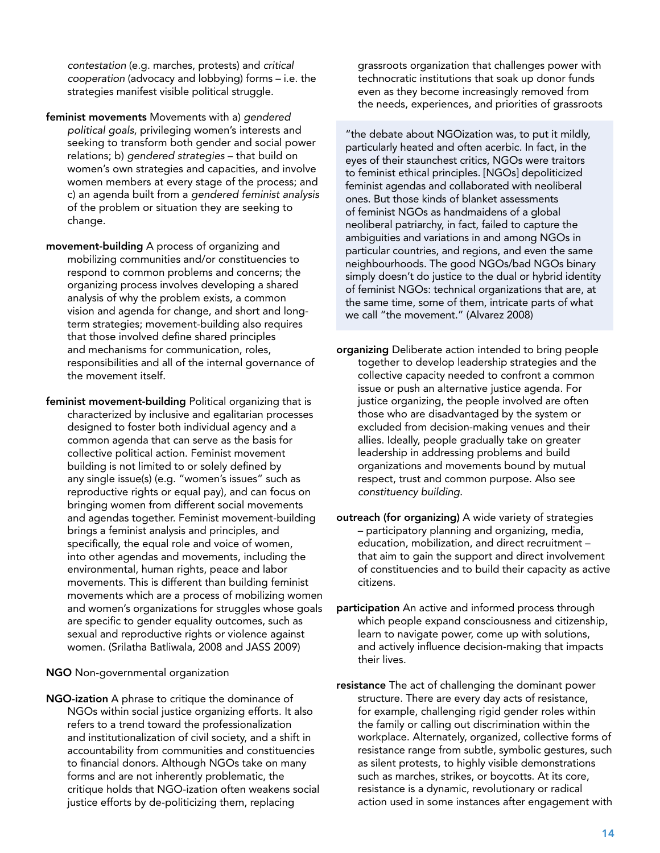<span id="page-14-0"></span>*contestation* (e.g. marches, protests) and *critical cooperation* (advocacy and lobbying) forms – i.e. the strategies manifest visible political struggle.

- feminist movements Movements with a) *gendered political goals*, privileging women's interests and seeking to transform both gender and social power relations; b) *gendered strategies* – that build on women's own strategies and capacities, and involve women members at every stage of the process; and c) an agenda built from a *gendered feminist analysis* of the problem or situation they are seeking to change.
- movement-building A process of organizing and mobilizing communities and/or constituencies to respond to common problems and concerns; the organizing process involves developing a shared analysis of why the problem exists, a common vision and agenda for change, and short and longterm strategies; movement-building also requires that those involved define shared principles and mechanisms for communication, roles, responsibilities and all of the internal governance of the movement itself.
- feminist movement-building Political organizing that is characterized by inclusive and egalitarian processes designed to foster both individual agency and a common agenda that can serve as the basis for collective political action. Feminist movement building is not limited to or solely defined by any single issue(s) (e.g. "women's issues" such as reproductive rights or equal pay), and can focus on bringing women from different social movements and agendas together. Feminist movement-building brings a feminist analysis and principles, and specifically, the equal role and voice of women, into other agendas and movements, including the environmental, human rights, peace and labor movements. This is different than building feminist movements which are a process of mobilizing women and women's organizations for struggles whose goals are specific to gender equality outcomes, such as sexual and reproductive rights or violence against women. (Srilatha Batliwala, 2008 and JASS 2009)
- NGO Non-governmental organization
- NGO-ization A phrase to critique the dominance of NGOs within social justice organizing efforts. It also refers to a trend toward the professionalization and institutionalization of civil society, and a shift in accountability from communities and constituencies to financial donors. Although NGOs take on many forms and are not inherently problematic, the critique holds that NGO-ization often weakens social justice efforts by de-politicizing them, replacing

grassroots organization that challenges power with technocratic institutions that soak up donor funds even as they become increasingly removed from the needs, experiences, and priorities of grassroots

"the debate about NGOization was, to put it mildly, particularly heated and often acerbic. In fact, in the eyes of their staunchest critics, NGOs were traitors to feminist ethical principles. [NGOs] depoliticized feminist agendas and collaborated with neoliberal ones. But those kinds of blanket assessments of feminist NGOs as handmaidens of a global neoliberal patriarchy, in fact, failed to capture the ambiguities and variations in and among NGOs in particular countries, and regions, and even the same neighbourhoods. The good NGOs/bad NGOs binary simply doesn't do justice to the dual or hybrid identity of feminist NGOs: technical organizations that are, at the same time, some of them, intricate parts of what we call "the movement." (Alvarez 2008)

- organizing Deliberate action intended to bring people together to develop leadership strategies and the collective capacity needed to confront a common issue or push an alternative justice agenda. For justice organizing, the people involved are often those who are disadvantaged by the system or excluded from decision-making venues and their allies. Ideally, people gradually take on greater leadership in addressing problems and build organizations and movements bound by mutual respect, trust and common purpose. Also see *constituency building*.
- outreach (for organizing) A wide variety of strategies – participatory planning and organizing, media, education, mobilization, and direct recruitment – that aim to gain the support and direct involvement of constituencies and to build their capacity as active citizens.
- participation An active and informed process through which people expand consciousness and citizenship, learn to navigate power, come up with solutions, and actively influence decision-making that impacts their lives.
- resistance The act of challenging the dominant power structure. There are every day acts of resistance, for example, challenging rigid gender roles within the family or calling out discrimination within the workplace. Alternately, organized, collective forms of resistance range from subtle, symbolic gestures, such as silent protests, to highly visible demonstrations such as marches, strikes, or boycotts. At its core, resistance is a dynamic, revolutionary or radical action used in some instances after engagement with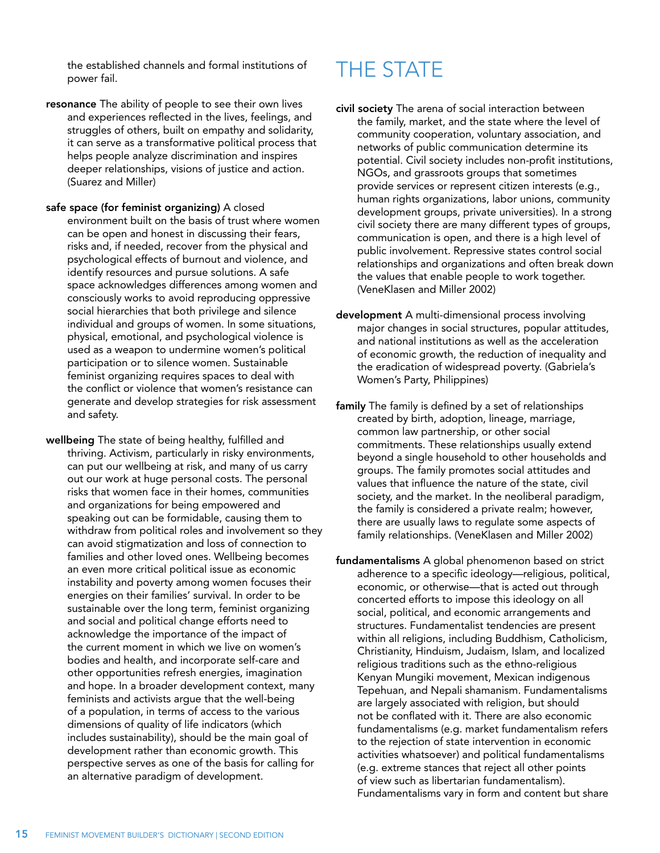<span id="page-15-0"></span>the established channels and formal institutions of power fail.

- resonance The ability of people to see their own lives and experiences reflected in the lives, feelings, and struggles of others, built on empathy and solidarity, it can serve as a transformative political process that helps people analyze discrimination and inspires deeper relationships, visions of justice and action. (Suarez and Miller)
- safe space (for feminist organizing) A closed environment built on the basis of trust where women can be open and honest in discussing their fears, risks and, if needed, recover from the physical and psychological effects of burnout and violence, and identify resources and pursue solutions. A safe space acknowledges differences among women and consciously works to avoid reproducing oppressive social hierarchies that both privilege and silence individual and groups of women. In some situations, physical, emotional, and psychological violence is used as a weapon to undermine women's political participation or to silence women. Sustainable feminist organizing requires spaces to deal with the conflict or violence that women's resistance can generate and develop strategies for risk assessment and safety.
- wellbeing The state of being healthy, fulfilled and thriving. Activism, particularly in risky environments, can put our wellbeing at risk, and many of us carry out our work at huge personal costs. The personal risks that women face in their homes, communities and organizations for being empowered and speaking out can be formidable, causing them to withdraw from political roles and involvement so they can avoid stigmatization and loss of connection to families and other loved ones. Wellbeing becomes an even more critical political issue as economic instability and poverty among women focuses their energies on their families' survival. In order to be sustainable over the long term, feminist organizing and social and political change efforts need to acknowledge the importance of the impact of the current moment in which we live on women's bodies and health, and incorporate self-care and other opportunities refresh energies, imagination and hope. In a broader development context, many feminists and activists argue that the well-being of a population, in terms of access to the various dimensions of quality of life indicators (which includes sustainability), should be the main goal of development rather than economic growth. This perspective serves as one of the basis for calling for an alternative paradigm of development.

### THE STATE

- civil society The arena of social interaction between the family, market, and the state where the level of community cooperation, voluntary association, and networks of public communication determine its potential. Civil society includes non-profit institutions, NGOs, and grassroots groups that sometimes provide services or represent citizen interests (e.g., human rights organizations, labor unions, community development groups, private universities). In a strong civil society there are many different types of groups, communication is open, and there is a high level of public involvement. Repressive states control social relationships and organizations and often break down the values that enable people to work together. (VeneKlasen and Miller 2002)
- development A multi-dimensional process involving major changes in social structures, popular attitudes, and national institutions as well as the acceleration of economic growth, the reduction of inequality and the eradication of widespread poverty. (Gabriela's Women's Party, Philippines)
- family The family is defined by a set of relationships created by birth, adoption, lineage, marriage, common law partnership, or other social commitments. These relationships usually extend beyond a single household to other households and groups. The family promotes social attitudes and values that influence the nature of the state, civil society, and the market. In the neoliberal paradigm, the family is considered a private realm; however, there are usually laws to regulate some aspects of family relationships. (VeneKlasen and Miller 2002)
- fundamentalisms A global phenomenon based on strict adherence to a specific ideology—religious, political, economic, or otherwise—that is acted out through concerted efforts to impose this ideology on all social, political, and economic arrangements and structures. Fundamentalist tendencies are present within all religions, including Buddhism, Catholicism, Christianity, Hinduism, Judaism, Islam, and localized religious traditions such as the ethno-religious Kenyan Mungiki movement, Mexican indigenous Tepehuan, and Nepali shamanism. Fundamentalisms are largely associated with religion, but should not be conflated with it. There are also economic fundamentalisms (e.g. market fundamentalism refers to the rejection of state intervention in economic activities whatsoever) and political fundamentalisms (e.g. extreme stances that reject all other points of view such as libertarian fundamentalism). Fundamentalisms vary in form and content but share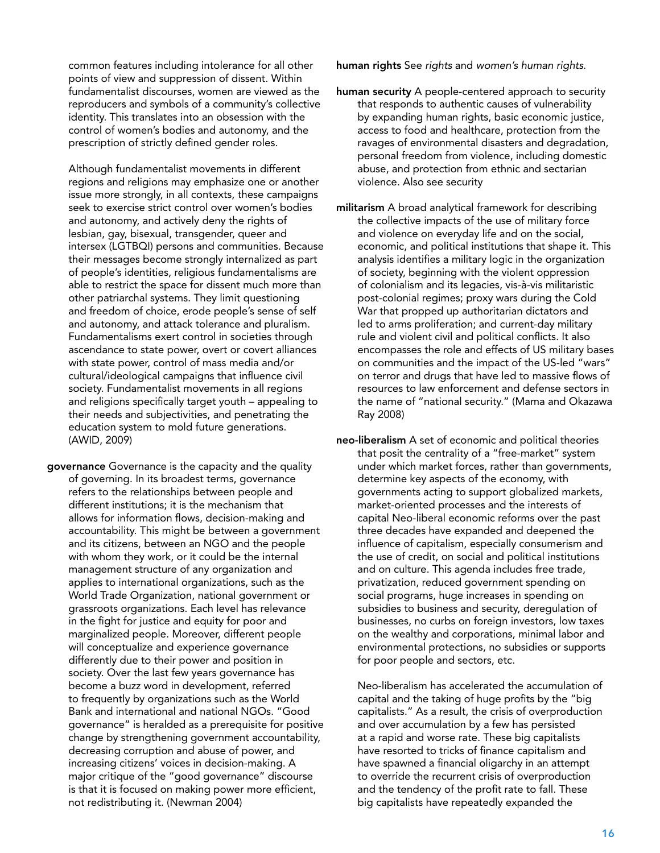<span id="page-16-0"></span>common features including intolerance for all other points of view and suppression of dissent. Within fundamentalist discourses, women are viewed as the reproducers and symbols of a community's collective identity. This translates into an obsession with the control of women's bodies and autonomy, and the prescription of strictly defined gender roles.

 Although fundamentalist movements in different regions and religions may emphasize one or another issue more strongly, in all contexts, these campaigns seek to exercise strict control over women's bodies and autonomy, and actively deny the rights of lesbian, gay, bisexual, transgender, queer and intersex (LGTBQI) persons and communities. Because their messages become strongly internalized as part of people's identities, religious fundamentalisms are able to restrict the space for dissent much more than other patriarchal systems. They limit questioning and freedom of choice, erode people's sense of self and autonomy, and attack tolerance and pluralism. Fundamentalisms exert control in societies through ascendance to state power, overt or covert alliances with state power, control of mass media and/or cultural/ideological campaigns that influence civil society. Fundamentalist movements in all regions and religions specifically target youth – appealing to their needs and subjectivities, and penetrating the education system to mold future generations. (AWID, 2009)

governance Governance is the capacity and the quality of governing. In its broadest terms, governance refers to the relationships between people and different institutions; it is the mechanism that allows for information flows, decision-making and accountability. This might be between a government and its citizens, between an NGO and the people with whom they work, or it could be the internal management structure of any organization and applies to international organizations, such as the World Trade Organization, national government or grassroots organizations. Each level has relevance in the fight for justice and equity for poor and marginalized people. Moreover, different people will conceptualize and experience governance differently due to their power and position in society. Over the last few years governance has become a buzz word in development, referred to frequently by organizations such as the World Bank and international and national NGOs. "Good governance" is heralded as a prerequisite for positive change by strengthening government accountability, decreasing corruption and abuse of power, and increasing citizens' voices in decision-making. A major critique of the "good governance" discourse is that it is focused on making power more efficient, not redistributing it. (Newman 2004)

human rights See *rights* and *women's human rights*.

- human security A people-centered approach to security that responds to authentic causes of vulnerability by expanding human rights, basic economic justice, access to food and healthcare, protection from the ravages of environmental disasters and degradation, personal freedom from violence, including domestic abuse, and protection from ethnic and sectarian violence. Also see security
- militarism A broad analytical framework for describing the collective impacts of the use of military force and violence on everyday life and on the social, economic, and political institutions that shape it. This analysis identifies a military logic in the organization of society, beginning with the violent oppression of colonialism and its legacies, vis-à-vis militaristic post-colonial regimes; proxy wars during the Cold War that propped up authoritarian dictators and led to arms proliferation; and current-day military rule and violent civil and political conflicts. It also encompasses the role and effects of US military bases on communities and the impact of the US-led "wars" on terror and drugs that have led to massive flows of resources to law enforcement and defense sectors in the name of "national security." (Mama and Okazawa Ray 2008)

neo-liberalism A set of economic and political theories that posit the centrality of a "free-market" system under which market forces, rather than governments, determine key aspects of the economy, with governments acting to support globalized markets, market-oriented processes and the interests of capital Neo-liberal economic reforms over the past three decades have expanded and deepened the influence of capitalism, especially consumerism and the use of credit, on social and political institutions and on culture. This agenda includes free trade, privatization, reduced government spending on social programs, huge increases in spending on subsidies to business and security, deregulation of businesses, no curbs on foreign investors, low taxes on the wealthy and corporations, minimal labor and environmental protections, no subsidies or supports for poor people and sectors, etc.

 Neo-liberalism has accelerated the accumulation of capital and the taking of huge profits by the "big capitalists." As a result, the crisis of overproduction and over accumulation by a few has persisted at a rapid and worse rate. These big capitalists have resorted to tricks of finance capitalism and have spawned a financial oligarchy in an attempt to override the recurrent crisis of overproduction and the tendency of the profit rate to fall. These big capitalists have repeatedly expanded the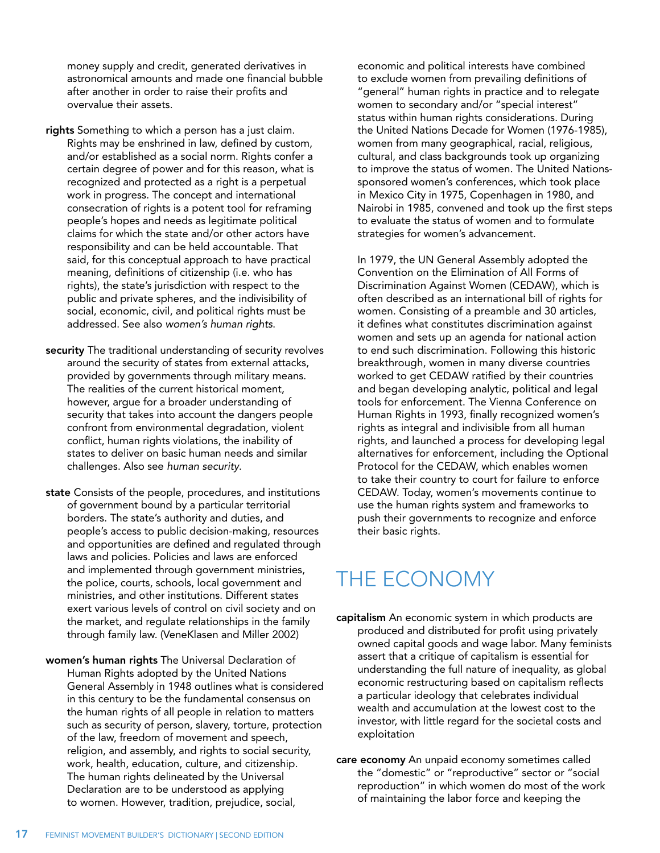<span id="page-17-0"></span>money supply and credit, generated derivatives in astronomical amounts and made one financial bubble after another in order to raise their profits and overvalue their assets.

- rights Something to which a person has a just claim. Rights may be enshrined in law, defined by custom, and/or established as a social norm. Rights confer a certain degree of power and for this reason, what is recognized and protected as a right is a perpetual work in progress. The concept and international consecration of rights is a potent tool for reframing people's hopes and needs as legitimate political claims for which the state and/or other actors have responsibility and can be held accountable. That said, for this conceptual approach to have practical meaning, definitions of citizenship (i.e. who has rights), the state's jurisdiction with respect to the public and private spheres, and the indivisibility of social, economic, civil, and political rights must be addressed. See also *women's human rights*.
- security The traditional understanding of security revolves around the security of states from external attacks, provided by governments through military means. The realities of the current historical moment, however, argue for a broader understanding of security that takes into account the dangers people confront from environmental degradation, violent conflict, human rights violations, the inability of states to deliver on basic human needs and similar challenges. Also see *human security*.
- state Consists of the people, procedures, and institutions of government bound by a particular territorial borders. The state's authority and duties, and people's access to public decision-making, resources and opportunities are defined and regulated through laws and policies. Policies and laws are enforced and implemented through government ministries, the police, courts, schools, local government and ministries, and other institutions. Different states exert various levels of control on civil society and on the market, and regulate relationships in the family through family law. (VeneKlasen and Miller 2002)
- women's human rights The Universal Declaration of Human Rights adopted by the United Nations General Assembly in 1948 outlines what is considered in this century to be the fundamental consensus on the human rights of all people in relation to matters such as security of person, slavery, torture, protection of the law, freedom of movement and speech, religion, and assembly, and rights to social security, work, health, education, culture, and citizenship. The human rights delineated by the Universal Declaration are to be understood as applying to women. However, tradition, prejudice, social,

economic and political interests have combined to exclude women from prevailing definitions of "general" human rights in practice and to relegate women to secondary and/or "special interest" status within human rights considerations. During the United Nations Decade for Women (1976-1985), women from many geographical, racial, religious, cultural, and class backgrounds took up organizing to improve the status of women. The United Nationssponsored women's conferences, which took place in Mexico City in 1975, Copenhagen in 1980, and Nairobi in 1985, convened and took up the first steps to evaluate the status of women and to formulate strategies for women's advancement.

 In 1979, the UN General Assembly adopted the Convention on the Elimination of All Forms of Discrimination Against Women (CEDAW), which is often described as an international bill of rights for women. Consisting of a preamble and 30 articles, it defines what constitutes discrimination against women and sets up an agenda for national action to end such discrimination. Following this historic breakthrough, women in many diverse countries worked to get CEDAW ratified by their countries and began developing analytic, political and legal tools for enforcement. The Vienna Conference on Human Rights in 1993, finally recognized women's rights as integral and indivisible from all human rights, and launched a process for developing legal alternatives for enforcement, including the Optional Protocol for the CEDAW, which enables women to take their country to court for failure to enforce CEDAW. Today, women's movements continue to use the human rights system and frameworks to push their governments to recognize and enforce their basic rights.

### THE ECONOMY

- capitalism An economic system in which products are produced and distributed for profit using privately owned capital goods and wage labor. Many feminists assert that a critique of capitalism is essential for understanding the full nature of inequality, as global economic restructuring based on capitalism reflects a particular ideology that celebrates individual wealth and accumulation at the lowest cost to the investor, with little regard for the societal costs and exploitation
- care economy An unpaid economy sometimes called the "domestic" or "reproductive" sector or "social reproduction" in which women do most of the work of maintaining the labor force and keeping the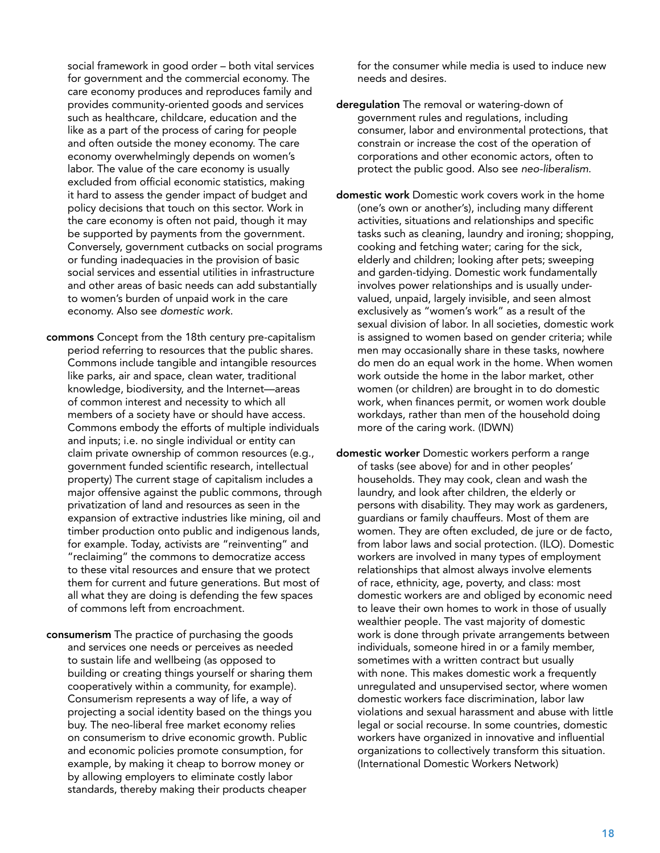<span id="page-18-0"></span>social framework in good order – both vital services for government and the commercial economy. The care economy produces and reproduces family and provides community-oriented goods and services such as healthcare, childcare, education and the like as a part of the process of caring for people and often outside the money economy. The care economy overwhelmingly depends on women's labor. The value of the care economy is usually excluded from official economic statistics, making it hard to assess the gender impact of budget and policy decisions that touch on this sector. Work in the care economy is often not paid, though it may be supported by payments from the government. Conversely, government cutbacks on social programs or funding inadequacies in the provision of basic social services and essential utilities in infrastructure and other areas of basic needs can add substantially to women's burden of unpaid work in the care economy. Also see *domestic work*.

- commons Concept from the 18th century pre-capitalism period referring to resources that the public shares. Commons include tangible and intangible resources like parks, air and space, clean water, traditional knowledge, biodiversity, and the Internet—areas of common interest and necessity to which all members of a society have or should have access. Commons embody the efforts of multiple individuals and inputs; i.e. no single individual or entity can claim private ownership of common resources (e.g., government funded scientific research, intellectual property) The current stage of capitalism includes a major offensive against the public commons, through privatization of land and resources as seen in the expansion of extractive industries like mining, oil and timber production onto public and indigenous lands, for example. Today, activists are "reinventing" and "reclaiming" the commons to democratize access to these vital resources and ensure that we protect them for current and future generations. But most of all what they are doing is defending the few spaces of commons left from encroachment.
- consumerism The practice of purchasing the goods and services one needs or perceives as needed to sustain life and wellbeing (as opposed to building or creating things yourself or sharing them cooperatively within a community, for example). Consumerism represents a way of life, a way of projecting a social identity based on the things you buy. The neo-liberal free market economy relies on consumerism to drive economic growth. Public and economic policies promote consumption, for example, by making it cheap to borrow money or by allowing employers to eliminate costly labor standards, thereby making their products cheaper

for the consumer while media is used to induce new needs and desires.

- derequiation The removal or watering-down of government rules and regulations, including consumer, labor and environmental protections, that constrain or increase the cost of the operation of corporations and other economic actors, often to protect the public good. Also see *neo-liberalism*.
- domestic work Domestic work covers work in the home (one's own or another's), including many different activities, situations and relationships and specific tasks such as cleaning, laundry and ironing; shopping, cooking and fetching water; caring for the sick, elderly and children; looking after pets; sweeping and garden-tidying. Domestic work fundamentally involves power relationships and is usually undervalued, unpaid, largely invisible, and seen almost exclusively as "women's work" as a result of the sexual division of labor. In all societies, domestic work is assigned to women based on gender criteria; while men may occasionally share in these tasks, nowhere do men do an equal work in the home. When women work outside the home in the labor market, other women (or children) are brought in to do domestic work, when finances permit, or women work double workdays, rather than men of the household doing more of the caring work. (IDWN)
- domestic worker Domestic workers perform a range of tasks (see above) for and in other peoples' households. They may cook, clean and wash the laundry, and look after children, the elderly or persons with disability. They may work as gardeners, guardians or family chauffeurs. Most of them are women. They are often excluded, de jure or de facto, from labor laws and social protection. (ILO). Domestic workers are involved in many types of employment relationships that almost always involve elements of race, ethnicity, age, poverty, and class: most domestic workers are and obliged by economic need to leave their own homes to work in those of usually wealthier people. The vast majority of domestic work is done through private arrangements between individuals, someone hired in or a family member, sometimes with a written contract but usually with none. This makes domestic work a frequently unregulated and unsupervised sector, where women domestic workers face discrimination, labor law violations and sexual harassment and abuse with little legal or social recourse. In some countries, domestic workers have organized in innovative and influential organizations to collectively transform this situation. (International Domestic Workers Network)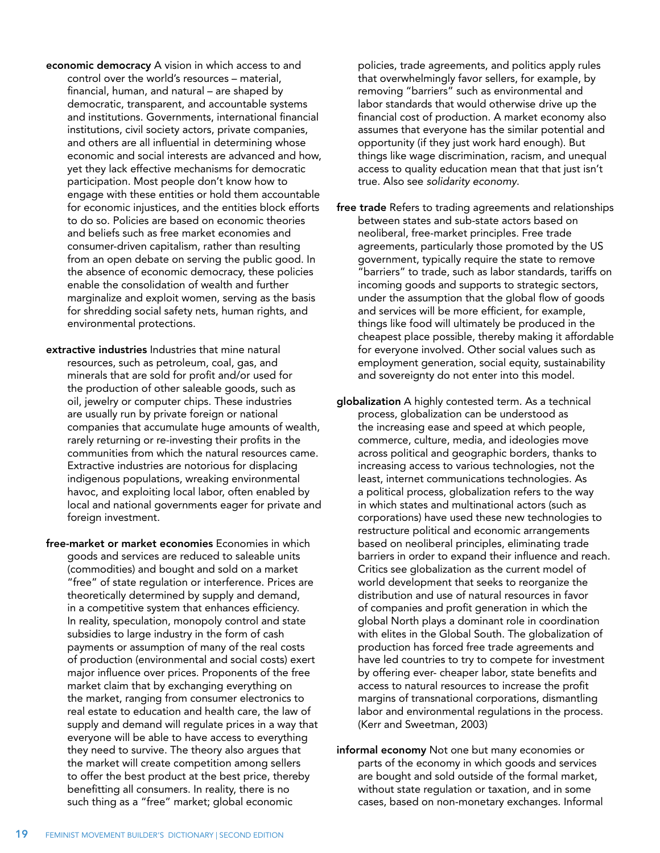- <span id="page-19-0"></span>economic democracy A vision in which access to and control over the world's resources – material, financial, human, and natural – are shaped by democratic, transparent, and accountable systems and institutions. Governments, international financial institutions, civil society actors, private companies, and others are all influential in determining whose economic and social interests are advanced and how, yet they lack effective mechanisms for democratic participation. Most people don't know how to engage with these entities or hold them accountable for economic injustices, and the entities block efforts to do so. Policies are based on economic theories and beliefs such as free market economies and consumer-driven capitalism, rather than resulting from an open debate on serving the public good. In the absence of economic democracy, these policies enable the consolidation of wealth and further marginalize and exploit women, serving as the basis for shredding social safety nets, human rights, and environmental protections.
- extractive industries Industries that mine natural resources, such as petroleum, coal, gas, and minerals that are sold for profit and/or used for the production of other saleable goods, such as oil, jewelry or computer chips. These industries are usually run by private foreign or national companies that accumulate huge amounts of wealth, rarely returning or re-investing their profits in the communities from which the natural resources came. Extractive industries are notorious for displacing indigenous populations, wreaking environmental havoc, and exploiting local labor, often enabled by local and national governments eager for private and foreign investment.
- free-market or market economies Economies in which goods and services are reduced to saleable units (commodities) and bought and sold on a market "free" of state regulation or interference. Prices are theoretically determined by supply and demand, in a competitive system that enhances efficiency. In reality, speculation, monopoly control and state subsidies to large industry in the form of cash payments or assumption of many of the real costs of production (environmental and social costs) exert major influence over prices. Proponents of the free market claim that by exchanging everything on the market, ranging from consumer electronics to real estate to education and health care, the law of supply and demand will regulate prices in a way that everyone will be able to have access to everything they need to survive. The theory also argues that the market will create competition among sellers to offer the best product at the best price, thereby benefitting all consumers. In reality, there is no such thing as a "free" market; global economic

policies, trade agreements, and politics apply rules that overwhelmingly favor sellers, for example, by removing "barriers" such as environmental and labor standards that would otherwise drive up the financial cost of production. A market economy also assumes that everyone has the similar potential and opportunity (if they just work hard enough). But things like wage discrimination, racism, and unequal access to quality education mean that that just isn't true. Also see *solidarity economy*.

- free trade Refers to trading agreements and relationships between states and sub-state actors based on neoliberal, free-market principles. Free trade agreements, particularly those promoted by the US government, typically require the state to remove "barriers" to trade, such as labor standards, tariffs on incoming goods and supports to strategic sectors, under the assumption that the global flow of goods and services will be more efficient, for example, things like food will ultimately be produced in the cheapest place possible, thereby making it affordable for everyone involved. Other social values such as employment generation, social equity, sustainability and sovereignty do not enter into this model.
- globalization A highly contested term. As a technical process, globalization can be understood as the increasing ease and speed at which people, commerce, culture, media, and ideologies move across political and geographic borders, thanks to increasing access to various technologies, not the least, internet communications technologies. As a political process, globalization refers to the way in which states and multinational actors (such as corporations) have used these new technologies to restructure political and economic arrangements based on neoliberal principles, eliminating trade barriers in order to expand their influence and reach. Critics see globalization as the current model of world development that seeks to reorganize the distribution and use of natural resources in favor of companies and profit generation in which the global North plays a dominant role in coordination with elites in the Global South. The globalization of production has forced free trade agreements and have led countries to try to compete for investment by offering ever- cheaper labor, state benefits and access to natural resources to increase the profit margins of transnational corporations, dismantling labor and environmental regulations in the process. (Kerr and Sweetman, 2003)
- informal economy Not one but many economies or parts of the economy in which goods and services are bought and sold outside of the formal market, without state regulation or taxation, and in some cases, based on non-monetary exchanges. Informal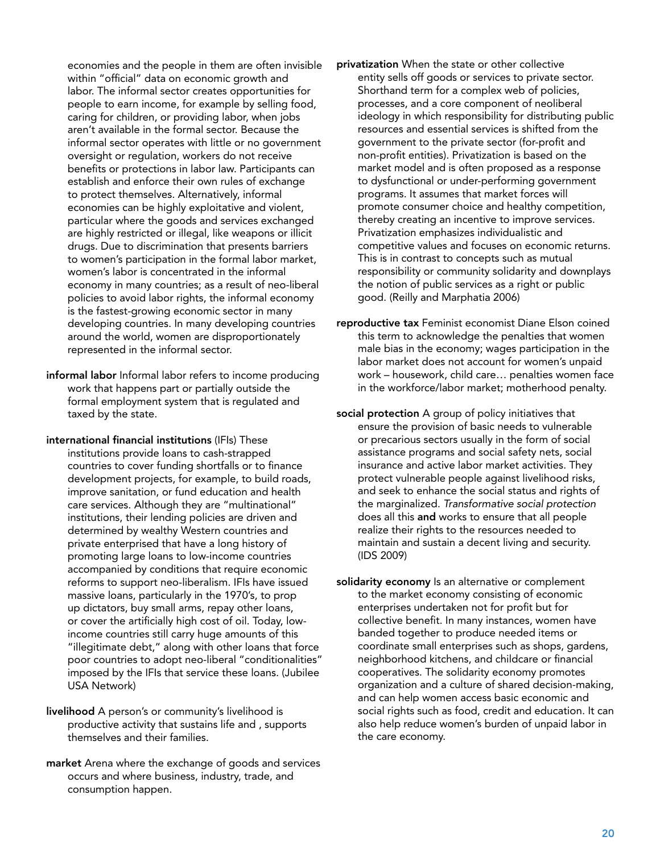<span id="page-20-0"></span>economies and the people in them are often invisible within "official" data on economic growth and labor. The informal sector creates opportunities for people to earn income, for example by selling food, caring for children, or providing labor, when jobs aren't available in the formal sector. Because the informal sector operates with little or no government oversight or regulation, workers do not receive benefits or protections in labor law. Participants can establish and enforce their own rules of exchange to protect themselves. Alternatively, informal economies can be highly exploitative and violent, particular where the goods and services exchanged are highly restricted or illegal, like weapons or illicit drugs. Due to discrimination that presents barriers to women's participation in the formal labor market, women's labor is concentrated in the informal economy in many countries; as a result of neo-liberal policies to avoid labor rights, the informal economy is the fastest-growing economic sector in many developing countries. In many developing countries around the world, women are disproportionately represented in the informal sector.

- informal labor Informal labor refers to income producing work that happens part or partially outside the formal employment system that is regulated and taxed by the state.
- international financial institutions (IFIs) These institutions provide loans to cash-strapped countries to cover funding shortfalls or to finance development projects, for example, to build roads, improve sanitation, or fund education and health care services. Although they are "multinational" institutions, their lending policies are driven and determined by wealthy Western countries and private enterprised that have a long history of promoting large loans to low-income countries accompanied by conditions that require economic reforms to support neo-liberalism. IFIs have issued massive loans, particularly in the 1970's, to prop up dictators, buy small arms, repay other loans, or cover the artificially high cost of oil. Today, lowincome countries still carry huge amounts of this "illegitimate debt," along with other loans that force poor countries to adopt neo-liberal "conditionalities" imposed by the IFIs that service these loans. (Jubilee USA Network)
- livelihood A person's or community's livelihood is productive activity that sustains life and , supports themselves and their families.
- market Arena where the exchange of goods and services occurs and where business, industry, trade, and consumption happen.
- privatization When the state or other collective entity sells off goods or services to private sector. Shorthand term for a complex web of policies, processes, and a core component of neoliberal ideology in which responsibility for distributing public resources and essential services is shifted from the government to the private sector (for-profit and non-profit entities). Privatization is based on the market model and is often proposed as a response to dysfunctional or under-performing government programs. It assumes that market forces will promote consumer choice and healthy competition, thereby creating an incentive to improve services. Privatization emphasizes individualistic and competitive values and focuses on economic returns. This is in contrast to concepts such as mutual responsibility or community solidarity and downplays the notion of public services as a right or public good. (Reilly and Marphatia 2006)
- reproductive tax Feminist economist Diane Elson coined this term to acknowledge the penalties that women male bias in the economy; wages participation in the labor market does not account for women's unpaid work – housework, child care… penalties women face in the workforce/labor market; motherhood penalty.
- social protection A group of policy initiatives that ensure the provision of basic needs to vulnerable or precarious sectors usually in the form of social assistance programs and social safety nets, social insurance and active labor market activities. They protect vulnerable people against livelihood risks, and seek to enhance the social status and rights of the marginalized. *Transformative social protection*  does all this and works to ensure that all people realize their rights to the resources needed to maintain and sustain a decent living and security. (IDS 2009)
- solidarity economy Is an alternative or complement to the market economy consisting of economic enterprises undertaken not for profit but for collective benefit. In many instances, women have banded together to produce needed items or coordinate small enterprises such as shops, gardens, neighborhood kitchens, and childcare or financial cooperatives. The solidarity economy promotes organization and a culture of shared decision-making, and can help women access basic economic and social rights such as food, credit and education. It can also help reduce women's burden of unpaid labor in the care economy.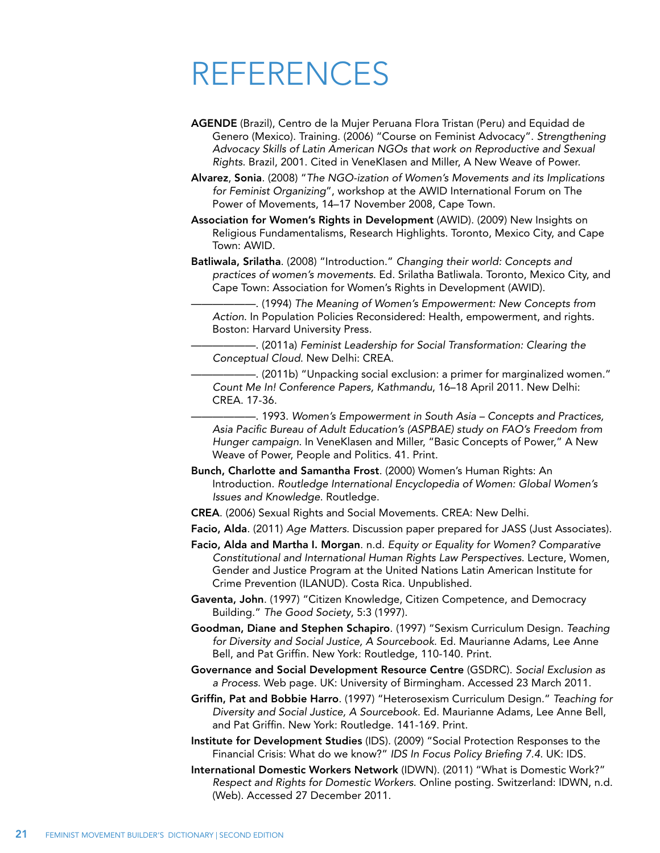## REFERENCES

- AGENDE (Brazil), Centro de la Mujer Peruana Flora Tristan (Peru) and Equidad de Genero (Mexico). Training. (2006) "Course on Feminist Advocacy". *Strengthening Advocacy Skills of Latin American NGOs that work on Reproductive and Sexual Rights*. Brazil, 2001. Cited in VeneKlasen and Miller, A New Weave of Power.
- Alvarez, Sonia. (2008) "*The NGO-ization of Women's Movements and its Implications for Feminist Organizing*", workshop at the AWID International Forum on The Power of Movements, 14–17 November 2008, Cape Town.
- Association for Women's Rights in Development (AWID). (2009) New Insights on Religious Fundamentalisms, Research Highlights. Toronto, Mexico City, and Cape Town: AWID.
- Batliwala, Srilatha. (2008) "Introduction." *Changing their world: Concepts and practices of women's movements*. Ed. Srilatha Batliwala. Toronto, Mexico City, and Cape Town: Association for Women's Rights in Development (AWID).
	- ——————. (1994) *The Meaning of Women's Empowerment: New Concepts from Action*. In Population Policies Reconsidered: Health, empowerment, and rights. Boston: Harvard University Press.
	- ——————. (2011a) *Feminist Leadership for Social Transformation: Clearing the Conceptual Cloud*. New Delhi: CREA.
	- ——————. (2011b) "Unpacking social exclusion: a primer for marginalized women." *Count Me In! Conference Papers, Kathmandu*, 16–18 April 2011. New Delhi: CREA. 17-36.
	- ——————. 1993. *Women's Empowerment in South Asia Concepts and Practices, Asia Pacific Bureau of Adult Education's (ASPBAE) study on FAO's Freedom from Hunger campaign*. In VeneKlasen and Miller, "Basic Concepts of Power," A New Weave of Power, People and Politics. 41. Print.
- Bunch, Charlotte and Samantha Frost. (2000) Women's Human Rights: An Introduction. *Routledge International Encyclopedia of Women: Global Women's Issues and Knowledge*. Routledge.
- CREA. (2006) Sexual Rights and Social Movements. CREA: New Delhi.
- Facio, Alda. (2011) *Age Matters*. Discussion paper prepared for JASS (Just Associates).
- Facio, Alda and Martha I. Morgan. n.d. *Equity or Equality for Women? Comparative Constitutional and International Human Rights Law Perspectives*. Lecture, Women, Gender and Justice Program at the United Nations Latin American Institute for Crime Prevention (ILANUD). Costa Rica. Unpublished.
- Gaventa, John. (1997) "Citizen Knowledge, Citizen Competence, and Democracy Building." *The Good Society*, 5:3 (1997).
- Goodman, Diane and Stephen Schapiro. (1997) "Sexism Curriculum Design. *Teaching for Diversity and Social Justice, A Sourcebook*. Ed. Maurianne Adams, Lee Anne Bell, and Pat Griffin. New York: Routledge, 110-140. Print.
- Governance and Social Development Resource Centre (GSDRC). *Social Exclusion as a Process*. Web page. UK: University of Birmingham. Accessed 23 March 2011.
- Griffin, Pat and Bobbie Harro. (1997) "Heterosexism Curriculum Design." *Teaching for Diversity and Social Justice, A Sourcebook*. Ed. Maurianne Adams, Lee Anne Bell, and Pat Griffin. New York: Routledge. 141-169. Print.
- Institute for Development Studies (IDS). (2009) "Social Protection Responses to the Financial Crisis: What do we know?" *IDS In Focus Policy Briefing 7.4*. UK: IDS.
- International Domestic Workers Network (IDWN). (2011) "What is Domestic Work?" *Respect and Rights for Domestic Workers*. Online posting. Switzerland: IDWN, n.d. (Web). Accessed 27 December 2011.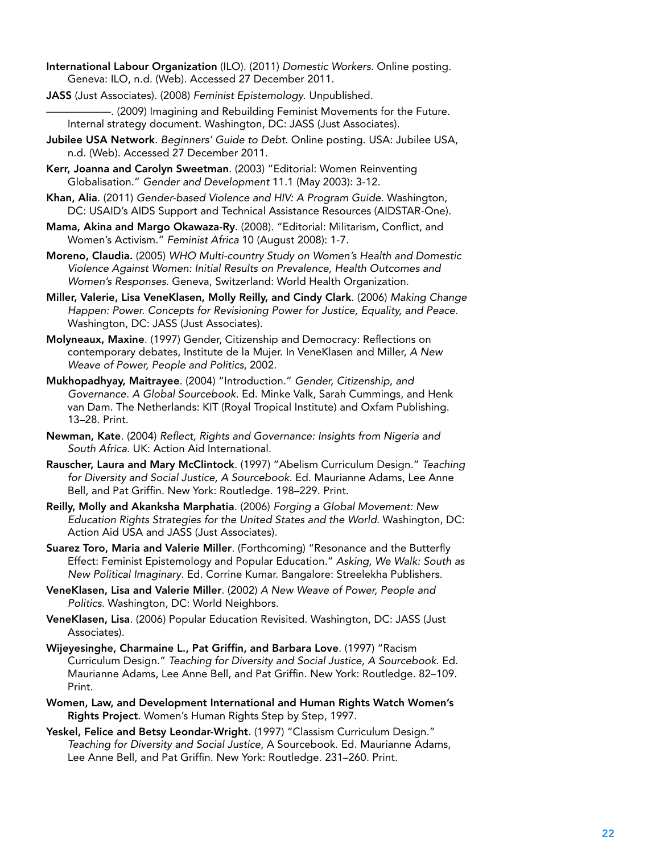- International Labour Organization (ILO). (2011) *Domestic Workers*. Online posting. Geneva: ILO, n.d. (Web). Accessed 27 December 2011.
- JASS (Just Associates). (2008) *Feminist Epistemology*. Unpublished.

 $-$ . (2009) Imagining and Rebuilding Feminist Movements for the Future. Internal strategy document. Washington, DC: JASS (Just Associates).

- Jubilee USA Network. *Beginners' Guide to Debt*. Online posting. USA: Jubilee USA, n.d. (Web). Accessed 27 December 2011.
- Kerr, Joanna and Carolyn Sweetman. (2003) "Editorial: Women Reinventing Globalisation." *Gender and Development* 11.1 (May 2003): 3-12.
- Khan, Alia. (2011) *Gender-based Violence and HIV: A Program Guide*. Washington, DC: USAID's AIDS Support and Technical Assistance Resources (AIDSTAR-One).
- Mama, Akina and Margo Okawaza-Ry. (2008). "Editorial: Militarism, Conflict, and Women's Activism." *Feminist Africa* 10 (August 2008): 1-7.
- Moreno, Claudia. (2005) *WHO Multi-country Study on Women's Health and Domestic Violence Against Women: Initial Results on Prevalence, Health Outcomes and Women's Responses*. Geneva, Switzerland: World Health Organization.
- Miller, Valerie, Lisa VeneKlasen, Molly Reilly, and Cindy Clark. (2006) *Making Change Happen: Power. Concepts for Revisioning Power for Justice, Equality, and Peace*. Washington, DC: JASS (Just Associates).
- Molyneaux, Maxine. (1997) Gender, Citizenship and Democracy: Reflections on contemporary debates, Institute de la Mujer. In VeneKlasen and Miller, *A New Weave of Power, People and Politics*, 2002.
- Mukhopadhyay, Maitrayee. (2004) "Introduction." *Gender, Citizenship, and Governance. A Global Sourcebook*. Ed. Minke Valk, Sarah Cummings, and Henk van Dam. The Netherlands: KIT (Royal Tropical Institute) and Oxfam Publishing. 13–28. Print.
- Newman, Kate. (2004) *Reflect, Rights and Governance: Insights from Nigeria and South Africa*. UK: Action Aid International.
- Rauscher, Laura and Mary McClintock. (1997) "Abelism Curriculum Design." *Teaching for Diversity and Social Justice, A Sourcebook*. Ed. Maurianne Adams, Lee Anne Bell, and Pat Griffin. New York: Routledge. 198–229. Print.
- Reilly, Molly and Akanksha Marphatia. (2006) *Forging a Global Movement: New Education Rights Strategies for the United States and the World*. Washington, DC: Action Aid USA and JASS (Just Associates).
- Suarez Toro, Maria and Valerie Miller. (Forthcoming) "Resonance and the Butterfly Effect: Feminist Epistemology and Popular Education." *Asking, We Walk: South as New Political Imaginary*. Ed. Corrine Kumar. Bangalore: Streelekha Publishers.
- VeneKlasen, Lisa and Valerie Miller. (2002) *A New Weave of Power, People and Politics*. Washington, DC: World Neighbors.
- VeneKlasen, Lisa. (2006) Popular Education Revisited. Washington, DC: JASS (Just Associates).
- Wijeyesinghe, Charmaine L., Pat Griffin, and Barbara Love. (1997) "Racism Curriculum Design." *Teaching for Diversity and Social Justice, A Sourcebook*. Ed. Maurianne Adams, Lee Anne Bell, and Pat Griffin. New York: Routledge. 82–109. Print.
- Women, Law, and Development International and Human Rights Watch Women's Rights Project. Women's Human Rights Step by Step, 1997.
- Yeskel, Felice and Betsy Leondar-Wright. (1997) "Classism Curriculum Design." *Teaching for Diversity and Social Justice*, A Sourcebook. Ed. Maurianne Adams, Lee Anne Bell, and Pat Griffin. New York: Routledge. 231–260. Print.